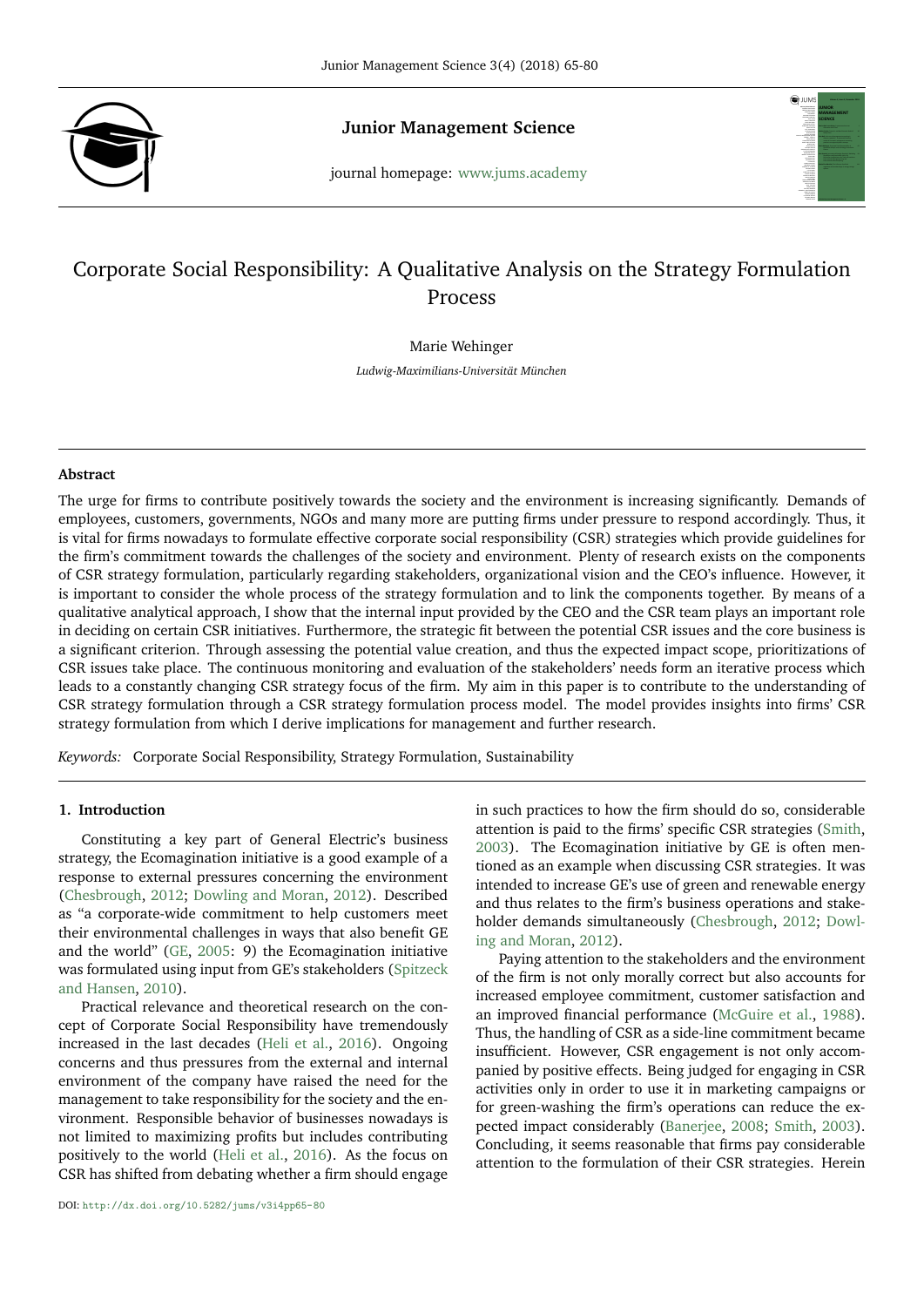

**Junior Management Science Junior Management Science**<br>journal homepage: <www.jums.academy>



# Corporate Social Responsibility: A Qualitative Analysis on the Strategy Formulation Process

Marie Wehinger

*Ludwig-Maximilians-Universität München*

## **Abstract**

The urge for firms to contribute positively towards the society and the environment is increasing significantly. Demands of employees, customers, governments, NGOs and many more are putting firms under pressure to respond accordingly. Thus, it is vital for firms nowadays to formulate effective corporate social responsibility (CSR) strategies which provide guidelines for the firm's commitment towards the challenges of the society and environment. Plenty of research exists on the components of CSR strategy formulation, particularly regarding stakeholders, organizational vision and the CEO's influence. However, it is important to consider the whole process of the strategy formulation and to link the components together. By means of a qualitative analytical approach, I show that the internal input provided by the CEO and the CSR team plays an important role in deciding on certain CSR initiatives. Furthermore, the strategic fit between the potential CSR issues and the core business is a significant criterion. Through assessing the potential value creation, and thus the expected impact scope, prioritizations of CSR issues take place. The continuous monitoring and evaluation of the stakeholders' needs form an iterative process which leads to a constantly changing CSR strategy focus of the firm. My aim in this paper is to contribute to the understanding of CSR strategy formulation through a CSR strategy formulation process model. The model provides insights into firms' CSR strategy formulation from which I derive implications for management and further research.

*Keywords:* Corporate Social Responsibility, Strategy Formulation, Sustainability

# **1. Introduction**

Constituting a key part of General Electric's business strategy, the Ecomagination initiative is a good example of a response to external pressures concerning the environment [\(Chesbrough,](#page-14-0) [2012;](#page-14-0) [Dowling and Moran,](#page-14-1) [2012\)](#page-14-1). Described as "a corporate-wide commitment to help customers meet their environmental challenges in ways that also benefit GE and the world" [\(GE,](#page-14-2) [2005:](#page-14-2) 9) the Ecomagination initiative was formulated using input from GE's stakeholders [\(Spitzeck](#page-15-0) [and Hansen,](#page-15-0) [2010\)](#page-15-0).

Practical relevance and theoretical research on the concept of Corporate Social Responsibility have tremendously increased in the last decades [\(Heli et al.,](#page-14-3) [2016\)](#page-14-3). Ongoing concerns and thus pressures from the external and internal environment of the company have raised the need for the management to take responsibility for the society and the environment. Responsible behavior of businesses nowadays is not limited to maximizing profits but includes contributing positively to the world [\(Heli et al.,](#page-14-3) [2016\)](#page-14-3). As the focus on CSR has shifted from debating whether a firm should engage

in such practices to how the firm should do so, considerable attention is paid to the firms' specific CSR strategies [\(Smith,](#page-15-1) [2003\)](#page-15-1). The Ecomagination initiative by GE is often mentioned as an example when discussing CSR strategies. It was intended to increase GE's use of green and renewable energy and thus relates to the firm's business operations and stakeholder demands simultaneously [\(Chesbrough,](#page-14-0) [2012;](#page-14-0) [Dowl](#page-14-1)[ing and Moran,](#page-14-1) [2012\)](#page-14-1).

Paying attention to the stakeholders and the environment of the firm is not only morally correct but also accounts for increased employee commitment, customer satisfaction and an improved financial performance [\(McGuire et al.,](#page-14-4) [1988\)](#page-14-4). Thus, the handling of CSR as a side-line commitment became insufficient. However, CSR engagement is not only accompanied by positive effects. Being judged for engaging in CSR activities only in order to use it in marketing campaigns or for green-washing the firm's operations can reduce the expected impact considerably [\(Banerjee,](#page-14-5) [2008;](#page-14-5) [Smith,](#page-15-1) [2003\)](#page-15-1). Concluding, it seems reasonable that firms pay considerable attention to the formulation of their CSR strategies. Herein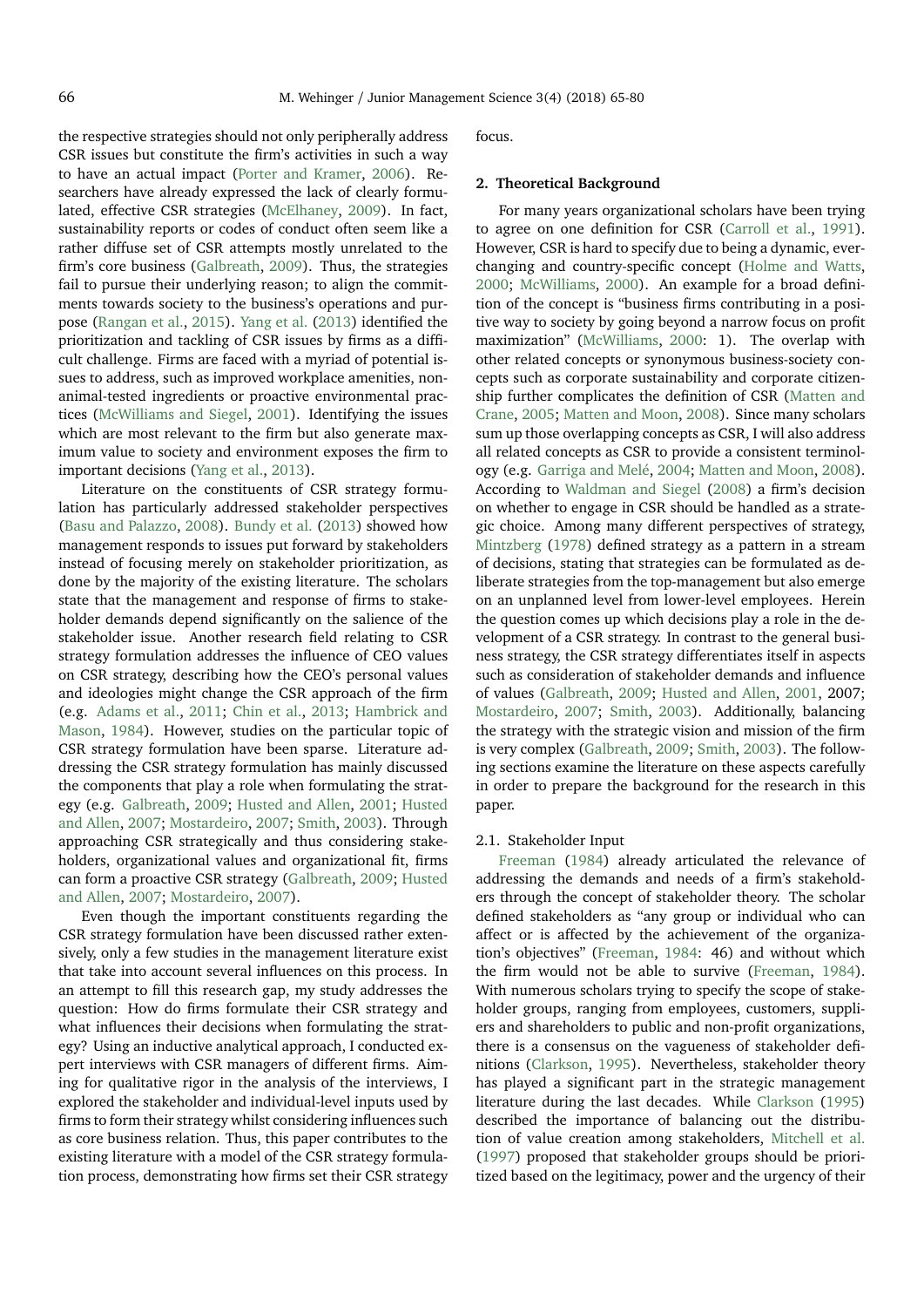the respective strategies should not only peripherally address CSR issues but constitute the firm's activities in such a way to have an actual impact [\(Porter and Kramer,](#page-15-2) [2006\)](#page-15-2). Researchers have already expressed the lack of clearly formulated, effective CSR strategies [\(McElhaney,](#page-14-6) [2009\)](#page-14-6). In fact, sustainability reports or codes of conduct often seem like a rather diffuse set of CSR attempts mostly unrelated to the firm's core business [\(Galbreath,](#page-14-7) [2009\)](#page-14-7). Thus, the strategies fail to pursue their underlying reason; to align the commitments towards society to the business's operations and purpose [\(Rangan et al.,](#page-15-3) [2015\)](#page-15-3). [Yang et al.](#page-15-4) [\(2013\)](#page-15-4) identified the prioritization and tackling of CSR issues by firms as a difficult challenge. Firms are faced with a myriad of potential issues to address, such as improved workplace amenities, nonanimal-tested ingredients or proactive environmental practices [\(McWilliams and Siegel,](#page-14-8) [2001\)](#page-14-8). Identifying the issues which are most relevant to the firm but also generate maximum value to society and environment exposes the firm to important decisions [\(Yang et al.,](#page-15-4) [2013\)](#page-15-4).

Literature on the constituents of CSR strategy formulation has particularly addressed stakeholder perspectives [\(Basu and Palazzo,](#page-14-9) [2008\)](#page-14-9). [Bundy et al.](#page-14-10) [\(2013\)](#page-14-10) showed how management responds to issues put forward by stakeholders instead of focusing merely on stakeholder prioritization, as done by the majority of the existing literature. The scholars state that the management and response of firms to stakeholder demands depend significantly on the salience of the stakeholder issue. Another research field relating to CSR strategy formulation addresses the influence of CEO values on CSR strategy, describing how the CEO's personal values and ideologies might change the CSR approach of the firm (e.g. [Adams et al.,](#page-14-11) [2011;](#page-14-11) [Chin et al.,](#page-14-12) [2013;](#page-14-12) [Hambrick and](#page-14-13) [Mason,](#page-14-13) [1984\)](#page-14-13). However, studies on the particular topic of CSR strategy formulation have been sparse. Literature addressing the CSR strategy formulation has mainly discussed the components that play a role when formulating the strategy (e.g. [Galbreath,](#page-14-7) [2009;](#page-14-7) [Husted and Allen,](#page-14-14) [2001;](#page-14-14) [Husted](#page-14-15) [and Allen,](#page-14-15) [2007;](#page-14-15) [Mostardeiro,](#page-14-16) [2007;](#page-14-16) [Smith,](#page-15-1) [2003\)](#page-15-1). Through approaching CSR strategically and thus considering stakeholders, organizational values and organizational fit, firms can form a proactive CSR strategy [\(Galbreath,](#page-14-7) [2009;](#page-14-7) [Husted](#page-14-15) [and Allen,](#page-14-15) [2007;](#page-14-15) [Mostardeiro,](#page-14-16) [2007\)](#page-14-16).

Even though the important constituents regarding the CSR strategy formulation have been discussed rather extensively, only a few studies in the management literature exist that take into account several influences on this process. In an attempt to fill this research gap, my study addresses the question: How do firms formulate their CSR strategy and what influences their decisions when formulating the strategy? Using an inductive analytical approach, I conducted expert interviews with CSR managers of different firms. Aiming for qualitative rigor in the analysis of the interviews, I explored the stakeholder and individual-level inputs used by firms to form their strategy whilst considering influences such as core business relation. Thus, this paper contributes to the existing literature with a model of the CSR strategy formulation process, demonstrating how firms set their CSR strategy

focus.

## **2. Theoretical Background**

For many years organizational scholars have been trying to agree on one definition for CSR [\(Carroll et al.,](#page-14-17) [1991\)](#page-14-17). However, CSR is hard to specify due to being a dynamic, everchanging and country-specific concept [\(Holme and Watts,](#page-14-18) [2000;](#page-14-18) [McWilliams,](#page-14-19) [2000\)](#page-14-19). An example for a broad definition of the concept is "business firms contributing in a positive way to society by going beyond a narrow focus on profit maximization" [\(McWilliams,](#page-14-19) [2000:](#page-14-19) 1). The overlap with other related concepts or synonymous business-society concepts such as corporate sustainability and corporate citizenship further complicates the definition of CSR [\(Matten and](#page-14-20) [Crane,](#page-14-20) [2005;](#page-14-20) [Matten and Moon,](#page-14-21) [2008\)](#page-14-21). Since many scholars sum up those overlapping concepts as CSR, I will also address all related concepts as CSR to provide a consistent terminology (e.g. [Garriga and Melé,](#page-14-22) [2004;](#page-14-22) [Matten and Moon,](#page-14-21) [2008\)](#page-14-21). According to [Waldman and Siegel](#page-15-5) [\(2008\)](#page-15-5) a firm's decision on whether to engage in CSR should be handled as a strategic choice. Among many different perspectives of strategy, [Mintzberg](#page-14-23) [\(1978\)](#page-14-23) defined strategy as a pattern in a stream of decisions, stating that strategies can be formulated as deliberate strategies from the top-management but also emerge on an unplanned level from lower-level employees. Herein the question comes up which decisions play a role in the development of a CSR strategy. In contrast to the general business strategy, the CSR strategy differentiates itself in aspects such as consideration of stakeholder demands and influence of values [\(Galbreath,](#page-14-7) [2009;](#page-14-7) [Husted and Allen,](#page-14-14) [2001,](#page-14-14) 2007; [Mostardeiro,](#page-14-16) [2007;](#page-14-16) [Smith,](#page-15-1) [2003\)](#page-15-1). Additionally, balancing the strategy with the strategic vision and mission of the firm is very complex [\(Galbreath,](#page-14-7) [2009;](#page-14-7) [Smith,](#page-15-1) [2003\)](#page-15-1). The following sections examine the literature on these aspects carefully in order to prepare the background for the research in this paper.

## 2.1. Stakeholder Input

[Freeman](#page-14-24) [\(1984\)](#page-14-24) already articulated the relevance of addressing the demands and needs of a firm's stakeholders through the concept of stakeholder theory. The scholar defined stakeholders as "any group or individual who can affect or is affected by the achievement of the organization's objectives" [\(Freeman,](#page-14-24) [1984:](#page-14-24) 46) and without which the firm would not be able to survive [\(Freeman,](#page-14-24) [1984\)](#page-14-24). With numerous scholars trying to specify the scope of stakeholder groups, ranging from employees, customers, suppliers and shareholders to public and non-profit organizations, there is a consensus on the vagueness of stakeholder definitions [\(Clarkson,](#page-14-25) [1995\)](#page-14-25). Nevertheless, stakeholder theory has played a significant part in the strategic management literature during the last decades. While [Clarkson](#page-14-25) [\(1995\)](#page-14-25) described the importance of balancing out the distribution of value creation among stakeholders, [Mitchell et al.](#page-14-26) [\(1997\)](#page-14-26) proposed that stakeholder groups should be prioritized based on the legitimacy, power and the urgency of their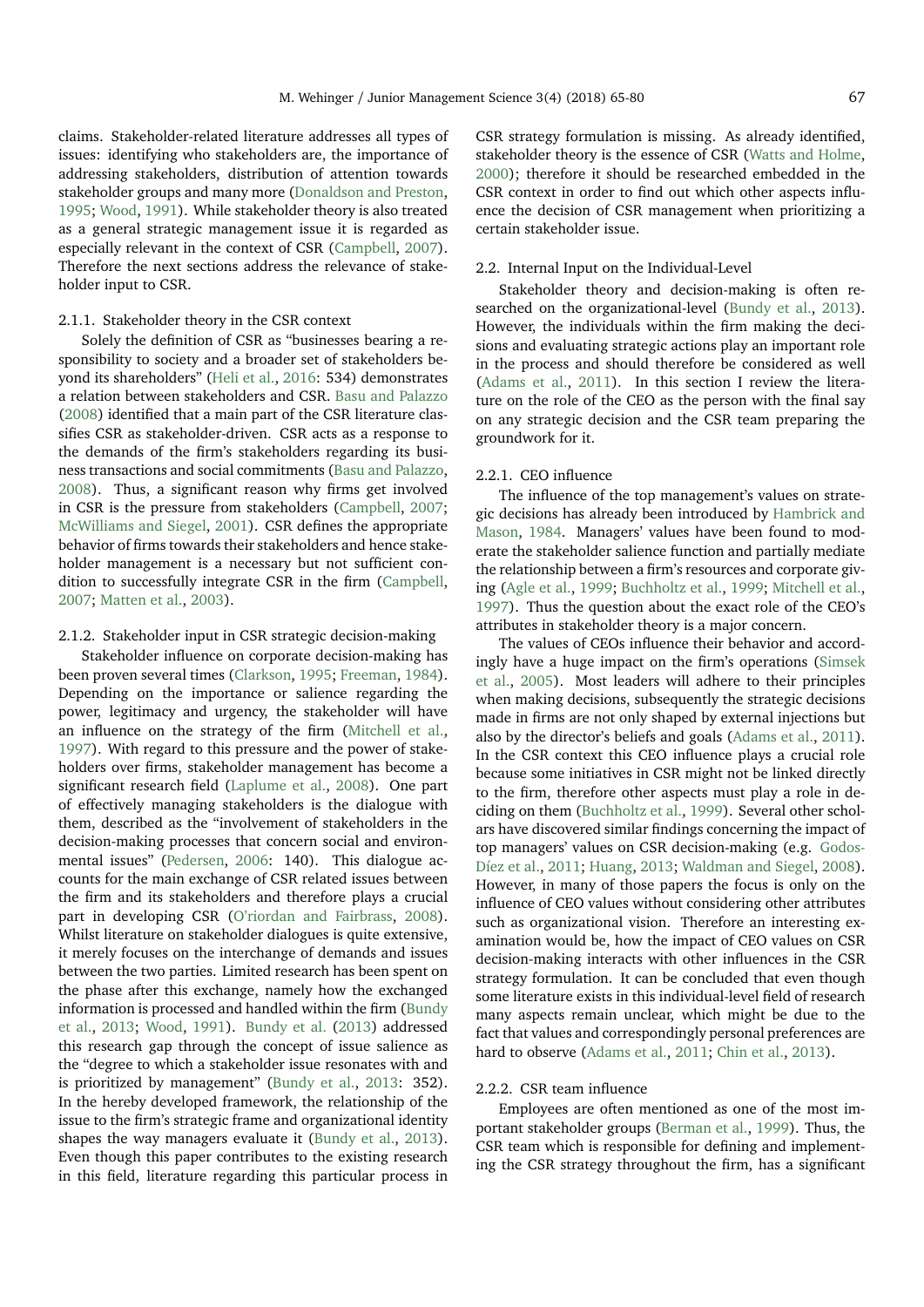claims. Stakeholder-related literature addresses all types of issues: identifying who stakeholders are, the importance of addressing stakeholders, distribution of attention towards stakeholder groups and many more [\(Donaldson and Preston,](#page-14-27) [1995;](#page-14-27) [Wood,](#page-15-6) [1991\)](#page-15-6). While stakeholder theory is also treated as a general strategic management issue it is regarded as especially relevant in the context of CSR [\(Campbell,](#page-14-28) [2007\)](#page-14-28). Therefore the next sections address the relevance of stakeholder input to CSR.

## 2.1.1. Stakeholder theory in the CSR context

Solely the definition of CSR as "businesses bearing a responsibility to society and a broader set of stakeholders beyond its shareholders" [\(Heli et al.,](#page-14-3) [2016:](#page-14-3) 534) demonstrates a relation between stakeholders and CSR. [Basu and Palazzo](#page-14-9) [\(2008\)](#page-14-9) identified that a main part of the CSR literature classifies CSR as stakeholder-driven. CSR acts as a response to the demands of the firm's stakeholders regarding its business transactions and social commitments [\(Basu and Palazzo,](#page-14-9) [2008\)](#page-14-9). Thus, a significant reason why firms get involved in CSR is the pressure from stakeholders [\(Campbell,](#page-14-28) [2007;](#page-14-28) [McWilliams and Siegel,](#page-14-8) [2001\)](#page-14-8). CSR defines the appropriate behavior of firms towards their stakeholders and hence stakeholder management is a necessary but not sufficient condition to successfully integrate CSR in the firm [\(Campbell,](#page-14-28) [2007;](#page-14-28) [Matten et al.,](#page-14-29) [2003\)](#page-14-29).

# 2.1.2. Stakeholder input in CSR strategic decision-making

Stakeholder influence on corporate decision-making has been proven several times [\(Clarkson,](#page-14-25) [1995;](#page-14-25) [Freeman,](#page-14-24) [1984\)](#page-14-24). Depending on the importance or salience regarding the power, legitimacy and urgency, the stakeholder will have an influence on the strategy of the firm [\(Mitchell et al.,](#page-14-26) [1997\)](#page-14-26). With regard to this pressure and the power of stakeholders over firms, stakeholder management has become a significant research field [\(Laplume et al.,](#page-14-30) [2008\)](#page-14-30). One part of effectively managing stakeholders is the dialogue with them, described as the "involvement of stakeholders in the decision-making processes that concern social and environmental issues" [\(Pedersen,](#page-15-7) [2006:](#page-15-7) 140). This dialogue accounts for the main exchange of CSR related issues between the firm and its stakeholders and therefore plays a crucial part in developing CSR [\(O'riordan and Fairbrass,](#page-14-31) [2008\)](#page-14-31). Whilst literature on stakeholder dialogues is quite extensive, it merely focuses on the interchange of demands and issues between the two parties. Limited research has been spent on the phase after this exchange, namely how the exchanged information is processed and handled within the firm [\(Bundy](#page-14-10) [et al.,](#page-14-10) [2013;](#page-14-10) [Wood,](#page-15-6) [1991\)](#page-15-6). [Bundy et al.](#page-14-10) [\(2013\)](#page-14-10) addressed this research gap through the concept of issue salience as the "degree to which a stakeholder issue resonates with and is prioritized by management" [\(Bundy et al.,](#page-14-10) [2013:](#page-14-10) 352). In the hereby developed framework, the relationship of the issue to the firm's strategic frame and organizational identity shapes the way managers evaluate it [\(Bundy et al.,](#page-14-10) [2013\)](#page-14-10). Even though this paper contributes to the existing research in this field, literature regarding this particular process in

CSR strategy formulation is missing. As already identified, stakeholder theory is the essence of CSR [\(Watts and Holme,](#page-15-8) [2000\)](#page-15-8); therefore it should be researched embedded in the CSR context in order to find out which other aspects influence the decision of CSR management when prioritizing a certain stakeholder issue.

## 2.2. Internal Input on the Individual-Level

Stakeholder theory and decision-making is often researched on the organizational-level [\(Bundy et al.,](#page-14-10) [2013\)](#page-14-10). However, the individuals within the firm making the decisions and evaluating strategic actions play an important role in the process and should therefore be considered as well [\(Adams et al.,](#page-14-11) [2011\)](#page-14-11). In this section I review the literature on the role of the CEO as the person with the final say on any strategic decision and the CSR team preparing the groundwork for it.

## 2.2.1. CEO influence

The influence of the top management's values on strategic decisions has already been introduced by [Hambrick and](#page-14-13) [Mason,](#page-14-13) [1984.](#page-14-13) Managers' values have been found to moderate the stakeholder salience function and partially mediate the relationship between a firm's resources and corporate giving [\(Agle et al.,](#page-14-32) [1999;](#page-14-32) [Buchholtz et al.,](#page-14-33) [1999;](#page-14-33) [Mitchell et al.,](#page-14-26) [1997\)](#page-14-26). Thus the question about the exact role of the CEO's attributes in stakeholder theory is a major concern.

The values of CEOs influence their behavior and accordingly have a huge impact on the firm's operations [\(Simsek](#page-15-9) [et al.,](#page-15-9) [2005\)](#page-15-9). Most leaders will adhere to their principles when making decisions, subsequently the strategic decisions made in firms are not only shaped by external injections but also by the director's beliefs and goals [\(Adams et al.,](#page-14-11) [2011\)](#page-14-11). In the CSR context this CEO influence plays a crucial role because some initiatives in CSR might not be linked directly to the firm, therefore other aspects must play a role in deciding on them [\(Buchholtz et al.,](#page-14-33) [1999\)](#page-14-33). Several other scholars have discovered similar findings concerning the impact of top managers' values on CSR decision-making (e.g. [Godos-](#page-14-34)[Díez et al.,](#page-14-34) [2011;](#page-14-34) [Huang,](#page-14-35) [2013;](#page-14-35) [Waldman and Siegel,](#page-15-5) [2008\)](#page-15-5). However, in many of those papers the focus is only on the influence of CEO values without considering other attributes such as organizational vision. Therefore an interesting examination would be, how the impact of CEO values on CSR decision-making interacts with other influences in the CSR strategy formulation. It can be concluded that even though some literature exists in this individual-level field of research many aspects remain unclear, which might be due to the fact that values and correspondingly personal preferences are hard to observe [\(Adams et al.,](#page-14-11) [2011;](#page-14-11) [Chin et al.,](#page-14-12) [2013\)](#page-14-12).

## 2.2.2. CSR team influence

Employees are often mentioned as one of the most important stakeholder groups [\(Berman et al.,](#page-14-36) [1999\)](#page-14-36). Thus, the CSR team which is responsible for defining and implementing the CSR strategy throughout the firm, has a significant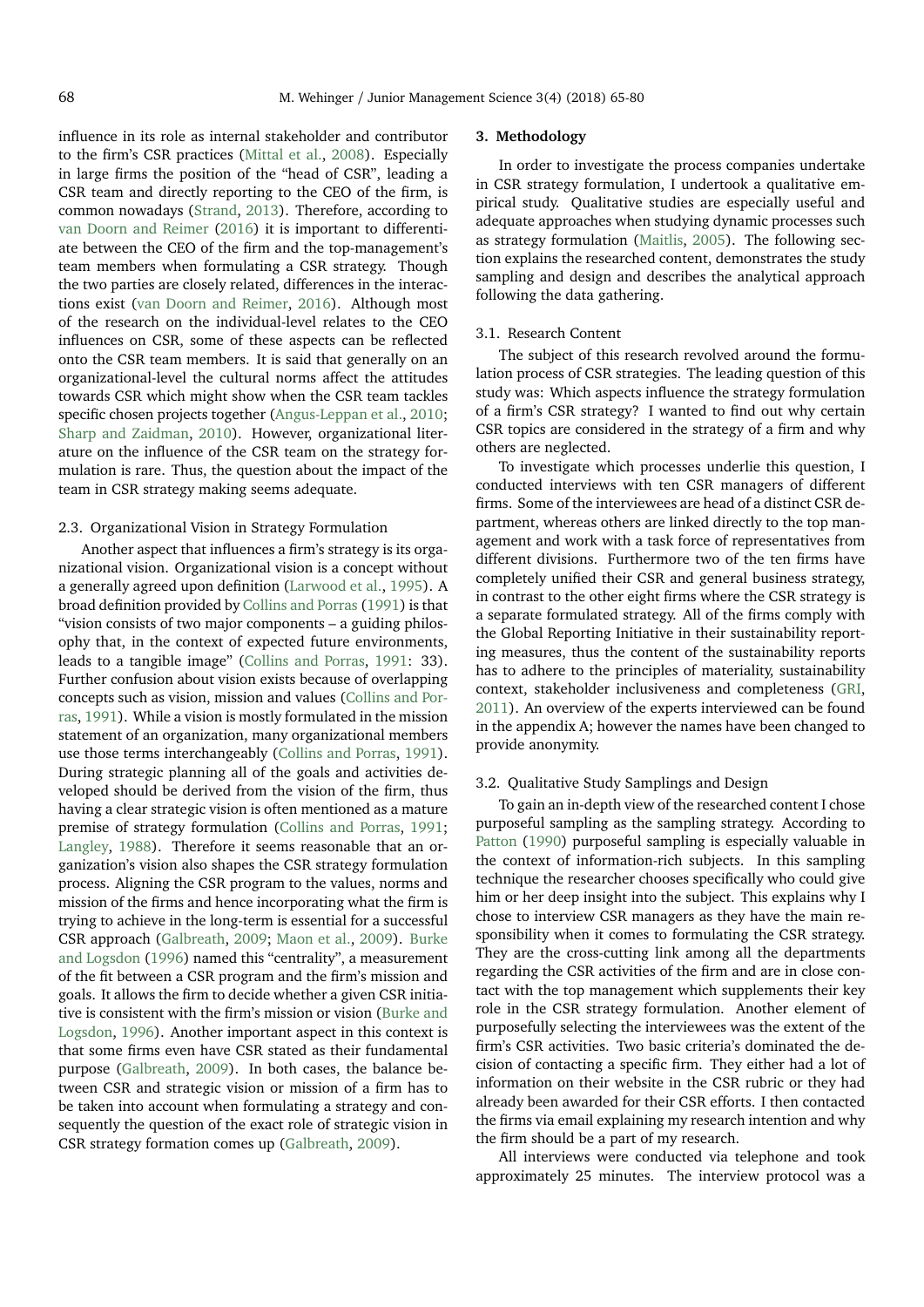influence in its role as internal stakeholder and contributor to the firm's CSR practices [\(Mittal et al.,](#page-14-37) [2008\)](#page-14-37). Especially in large firms the position of the "head of CSR", leading a CSR team and directly reporting to the CEO of the firm, is common nowadays [\(Strand,](#page-15-10) [2013\)](#page-15-10). Therefore, according to [van Doorn and Reimer](#page-15-11) [\(2016\)](#page-15-11) it is important to differentiate between the CEO of the firm and the top-management's team members when formulating a CSR strategy. Though the two parties are closely related, differences in the interactions exist [\(van Doorn and Reimer,](#page-15-11) [2016\)](#page-15-11). Although most of the research on the individual-level relates to the CEO influences on CSR, some of these aspects can be reflected onto the CSR team members. It is said that generally on an organizational-level the cultural norms affect the attitudes towards CSR which might show when the CSR team tackles specific chosen projects together [\(Angus-Leppan et al.,](#page-14-38) [2010;](#page-14-38) [Sharp and Zaidman,](#page-15-12) [2010\)](#page-15-12). However, organizational literature on the influence of the CSR team on the strategy formulation is rare. Thus, the question about the impact of the team in CSR strategy making seems adequate.

#### 2.3. Organizational Vision in Strategy Formulation

Another aspect that influences a firm's strategy is its organizational vision. Organizational vision is a concept without a generally agreed upon definition [\(Larwood et al.,](#page-14-39) [1995\)](#page-14-39). A broad definition provided by [Collins and Porras](#page-14-40) [\(1991\)](#page-14-40) is that "vision consists of two major components – a guiding philosophy that, in the context of expected future environments, leads to a tangible image" [\(Collins and Porras,](#page-14-40) [1991:](#page-14-40) 33). Further confusion about vision exists because of overlapping concepts such as vision, mission and values [\(Collins and Por](#page-14-40)[ras,](#page-14-40) [1991\)](#page-14-40). While a vision is mostly formulated in the mission statement of an organization, many organizational members use those terms interchangeably [\(Collins and Porras,](#page-14-40) [1991\)](#page-14-40). During strategic planning all of the goals and activities developed should be derived from the vision of the firm, thus having a clear strategic vision is often mentioned as a mature premise of strategy formulation [\(Collins and Porras,](#page-14-40) [1991;](#page-14-40) [Langley,](#page-14-41) [1988\)](#page-14-41). Therefore it seems reasonable that an organization's vision also shapes the CSR strategy formulation process. Aligning the CSR program to the values, norms and mission of the firms and hence incorporating what the firm is trying to achieve in the long-term is essential for a successful CSR approach [\(Galbreath,](#page-14-7) [2009;](#page-14-7) [Maon et al.,](#page-14-42) [2009\)](#page-14-42). [Burke](#page-14-43) [and Logsdon](#page-14-43) [\(1996\)](#page-14-43) named this "centrality", a measurement of the fit between a CSR program and the firm's mission and goals. It allows the firm to decide whether a given CSR initiative is consistent with the firm's mission or vision [\(Burke and](#page-14-43) [Logsdon,](#page-14-43) [1996\)](#page-14-43). Another important aspect in this context is that some firms even have CSR stated as their fundamental purpose [\(Galbreath,](#page-14-7) [2009\)](#page-14-7). In both cases, the balance between CSR and strategic vision or mission of a firm has to be taken into account when formulating a strategy and consequently the question of the exact role of strategic vision in CSR strategy formation comes up [\(Galbreath,](#page-14-7) [2009\)](#page-14-7).

#### **3. Methodology**

In order to investigate the process companies undertake in CSR strategy formulation, I undertook a qualitative empirical study. Qualitative studies are especially useful and adequate approaches when studying dynamic processes such as strategy formulation [\(Maitlis,](#page-14-44) [2005\)](#page-14-44). The following section explains the researched content, demonstrates the study sampling and design and describes the analytical approach following the data gathering.

## 3.1. Research Content

The subject of this research revolved around the formulation process of CSR strategies. The leading question of this study was: Which aspects influence the strategy formulation of a firm's CSR strategy? I wanted to find out why certain CSR topics are considered in the strategy of a firm and why others are neglected.

To investigate which processes underlie this question, I conducted interviews with ten CSR managers of different firms. Some of the interviewees are head of a distinct CSR department, whereas others are linked directly to the top management and work with a task force of representatives from different divisions. Furthermore two of the ten firms have completely unified their CSR and general business strategy, in contrast to the other eight firms where the CSR strategy is a separate formulated strategy. All of the firms comply with the Global Reporting Initiative in their sustainability reporting measures, thus the content of the sustainability reports has to adhere to the principles of materiality, sustainability context, stakeholder inclusiveness and completeness [\(GRI,](#page-14-45) [2011\)](#page-14-45). An overview of the experts interviewed can be found in the appendix A; however the names have been changed to provide anonymity.

#### 3.2. Qualitative Study Samplings and Design

To gain an in-depth view of the researched content I chose purposeful sampling as the sampling strategy. According to [Patton](#page-15-13) [\(1990\)](#page-15-13) purposeful sampling is especially valuable in the context of information-rich subjects. In this sampling technique the researcher chooses specifically who could give him or her deep insight into the subject. This explains why I chose to interview CSR managers as they have the main responsibility when it comes to formulating the CSR strategy. They are the cross-cutting link among all the departments regarding the CSR activities of the firm and are in close contact with the top management which supplements their key role in the CSR strategy formulation. Another element of purposefully selecting the interviewees was the extent of the firm's CSR activities. Two basic criteria's dominated the decision of contacting a specific firm. They either had a lot of information on their website in the CSR rubric or they had already been awarded for their CSR efforts. I then contacted the firms via email explaining my research intention and why the firm should be a part of my research.

All interviews were conducted via telephone and took approximately 25 minutes. The interview protocol was a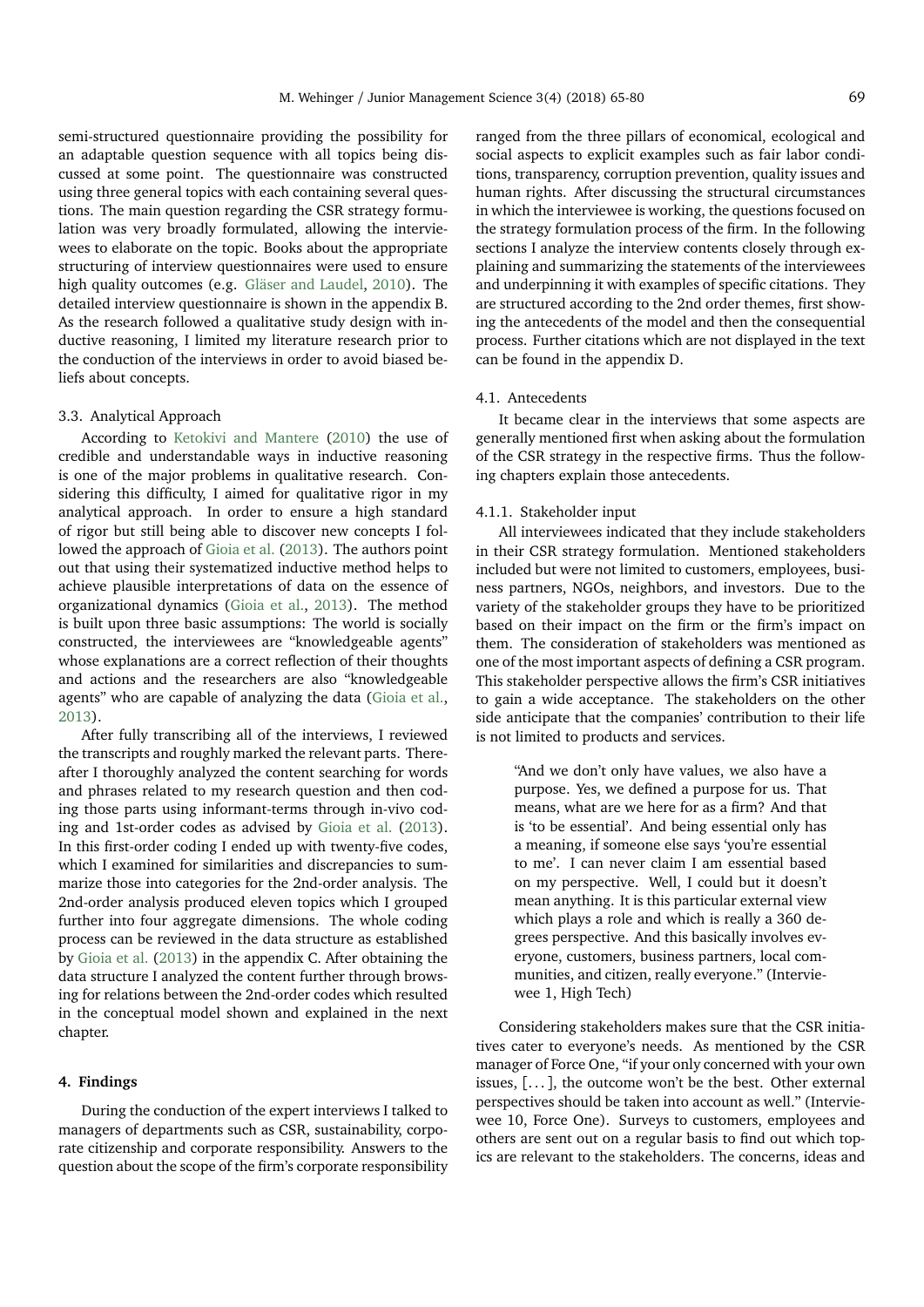semi-structured questionnaire providing the possibility for an adaptable question sequence with all topics being discussed at some point. The questionnaire was constructed using three general topics with each containing several questions. The main question regarding the CSR strategy formulation was very broadly formulated, allowing the interviewees to elaborate on the topic. Books about the appropriate structuring of interview questionnaires were used to ensure high quality outcomes (e.g. [Gläser and Laudel,](#page-14-46) [2010\)](#page-14-46). The detailed interview questionnaire is shown in the appendix B. As the research followed a qualitative study design with inductive reasoning, I limited my literature research prior to the conduction of the interviews in order to avoid biased beliefs about concepts.

## 3.3. Analytical Approach

According to [Ketokivi and Mantere](#page-14-47) [\(2010\)](#page-14-47) the use of credible and understandable ways in inductive reasoning is one of the major problems in qualitative research. Considering this difficulty, I aimed for qualitative rigor in my analytical approach. In order to ensure a high standard of rigor but still being able to discover new concepts I followed the approach of [Gioia et al.](#page-14-48) [\(2013\)](#page-14-48). The authors point out that using their systematized inductive method helps to achieve plausible interpretations of data on the essence of organizational dynamics [\(Gioia et al.,](#page-14-48) [2013\)](#page-14-48). The method is built upon three basic assumptions: The world is socially constructed, the interviewees are "knowledgeable agents" whose explanations are a correct reflection of their thoughts and actions and the researchers are also "knowledgeable agents" who are capable of analyzing the data [\(Gioia et al.,](#page-14-48) [2013\)](#page-14-48).

After fully transcribing all of the interviews, I reviewed the transcripts and roughly marked the relevant parts. Thereafter I thoroughly analyzed the content searching for words and phrases related to my research question and then coding those parts using informant-terms through in-vivo coding and 1st-order codes as advised by [Gioia et al.](#page-14-48) [\(2013\)](#page-14-48). In this first-order coding I ended up with twenty-five codes, which I examined for similarities and discrepancies to summarize those into categories for the 2nd-order analysis. The 2nd-order analysis produced eleven topics which I grouped further into four aggregate dimensions. The whole coding process can be reviewed in the data structure as established by [Gioia et al.](#page-14-48) [\(2013\)](#page-14-48) in the appendix C. After obtaining the data structure I analyzed the content further through browsing for relations between the 2nd-order codes which resulted in the conceptual model shown and explained in the next chapter.

## **4. Findings**

During the conduction of the expert interviews I talked to managers of departments such as CSR, sustainability, corporate citizenship and corporate responsibility. Answers to the question about the scope of the firm's corporate responsibility

ranged from the three pillars of economical, ecological and social aspects to explicit examples such as fair labor conditions, transparency, corruption prevention, quality issues and human rights. After discussing the structural circumstances in which the interviewee is working, the questions focused on the strategy formulation process of the firm. In the following sections I analyze the interview contents closely through explaining and summarizing the statements of the interviewees and underpinning it with examples of specific citations. They are structured according to the 2nd order themes, first showing the antecedents of the model and then the consequential process. Further citations which are not displayed in the text can be found in the appendix D.

# 4.1. Antecedents

It became clear in the interviews that some aspects are generally mentioned first when asking about the formulation of the CSR strategy in the respective firms. Thus the following chapters explain those antecedents.

#### 4.1.1. Stakeholder input

All interviewees indicated that they include stakeholders in their CSR strategy formulation. Mentioned stakeholders included but were not limited to customers, employees, business partners, NGOs, neighbors, and investors. Due to the variety of the stakeholder groups they have to be prioritized based on their impact on the firm or the firm's impact on them. The consideration of stakeholders was mentioned as one of the most important aspects of defining a CSR program. This stakeholder perspective allows the firm's CSR initiatives to gain a wide acceptance. The stakeholders on the other side anticipate that the companies' contribution to their life is not limited to products and services.

"And we don't only have values, we also have a purpose. Yes, we defined a purpose for us. That means, what are we here for as a firm? And that is 'to be essential'. And being essential only has a meaning, if someone else says 'you're essential to me'. I can never claim I am essential based on my perspective. Well, I could but it doesn't mean anything. It is this particular external view which plays a role and which is really a 360 degrees perspective. And this basically involves everyone, customers, business partners, local communities, and citizen, really everyone." (Interviewee 1, High Tech)

Considering stakeholders makes sure that the CSR initiatives cater to everyone's needs. As mentioned by the CSR manager of Force One, "if your only concerned with your own issues,  $[...]$ , the outcome won't be the best. Other external perspectives should be taken into account as well." (Interviewee 10, Force One). Surveys to customers, employees and others are sent out on a regular basis to find out which topics are relevant to the stakeholders. The concerns, ideas and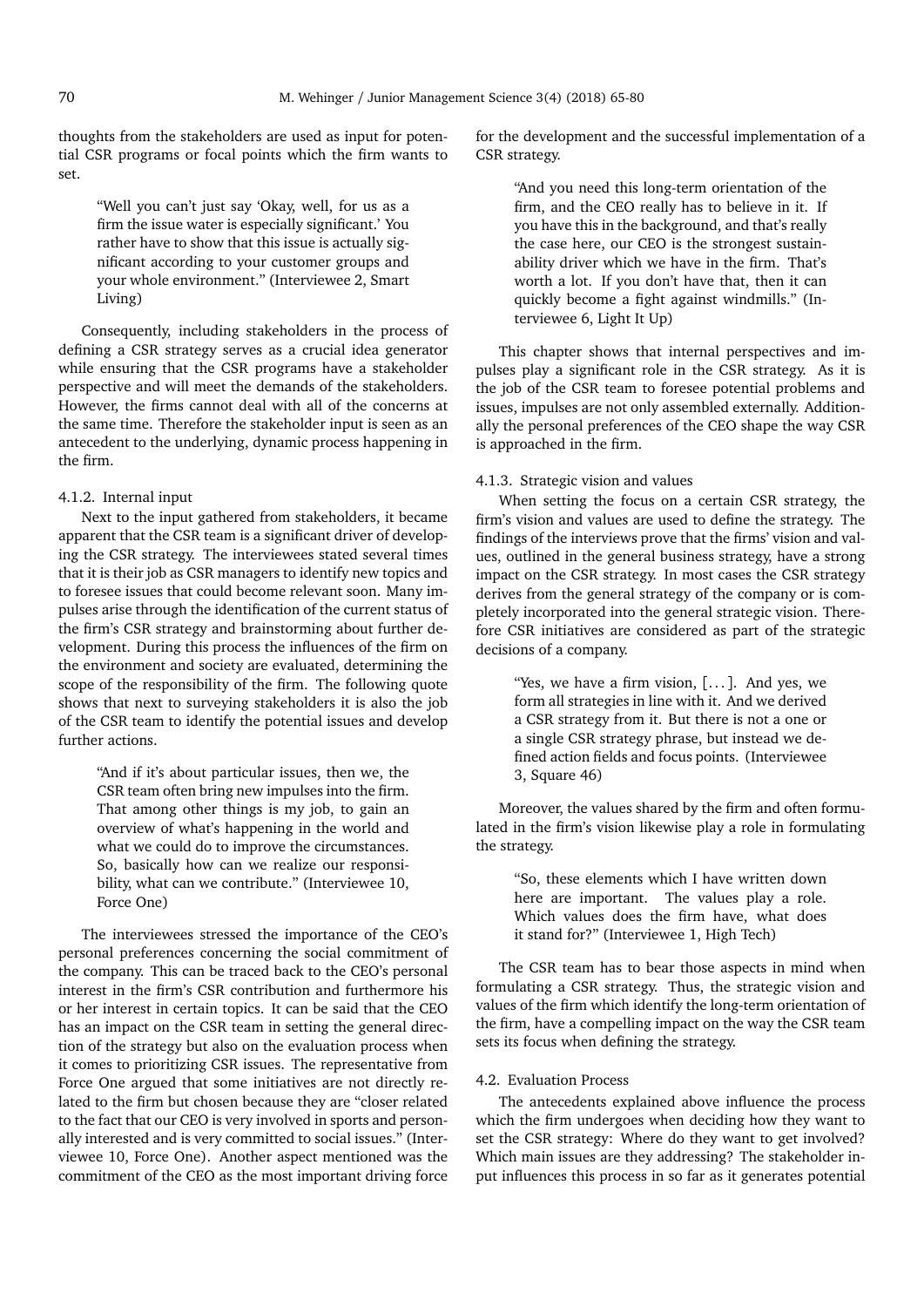thoughts from the stakeholders are used as input for potential CSR programs or focal points which the firm wants to set.

"Well you can't just say 'Okay, well, for us as a firm the issue water is especially significant.' You rather have to show that this issue is actually significant according to your customer groups and your whole environment." (Interviewee 2, Smart Living)

Consequently, including stakeholders in the process of defining a CSR strategy serves as a crucial idea generator while ensuring that the CSR programs have a stakeholder perspective and will meet the demands of the stakeholders. However, the firms cannot deal with all of the concerns at the same time. Therefore the stakeholder input is seen as an antecedent to the underlying, dynamic process happening in the firm.

## 4.1.2. Internal input

Next to the input gathered from stakeholders, it became apparent that the CSR team is a significant driver of developing the CSR strategy. The interviewees stated several times that it is their job as CSR managers to identify new topics and to foresee issues that could become relevant soon. Many impulses arise through the identification of the current status of the firm's CSR strategy and brainstorming about further development. During this process the influences of the firm on the environment and society are evaluated, determining the scope of the responsibility of the firm. The following quote shows that next to surveying stakeholders it is also the job of the CSR team to identify the potential issues and develop further actions.

> "And if it's about particular issues, then we, the CSR team often bring new impulses into the firm. That among other things is my job, to gain an overview of what's happening in the world and what we could do to improve the circumstances. So, basically how can we realize our responsibility, what can we contribute." (Interviewee 10, Force One)

The interviewees stressed the importance of the CEO's personal preferences concerning the social commitment of the company. This can be traced back to the CEO's personal interest in the firm's CSR contribution and furthermore his or her interest in certain topics. It can be said that the CEO has an impact on the CSR team in setting the general direction of the strategy but also on the evaluation process when it comes to prioritizing CSR issues. The representative from Force One argued that some initiatives are not directly related to the firm but chosen because they are "closer related to the fact that our CEO is very involved in sports and personally interested and is very committed to social issues." (Interviewee 10, Force One). Another aspect mentioned was the commitment of the CEO as the most important driving force

for the development and the successful implementation of a CSR strategy.

> "And you need this long-term orientation of the firm, and the CEO really has to believe in it. If you have this in the background, and that's really the case here, our CEO is the strongest sustainability driver which we have in the firm. That's worth a lot. If you don't have that, then it can quickly become a fight against windmills." (Interviewee 6, Light It Up)

This chapter shows that internal perspectives and impulses play a significant role in the CSR strategy. As it is the job of the CSR team to foresee potential problems and issues, impulses are not only assembled externally. Additionally the personal preferences of the CEO shape the way CSR is approached in the firm.

## 4.1.3. Strategic vision and values

When setting the focus on a certain CSR strategy, the firm's vision and values are used to define the strategy. The findings of the interviews prove that the firms' vision and values, outlined in the general business strategy, have a strong impact on the CSR strategy. In most cases the CSR strategy derives from the general strategy of the company or is completely incorporated into the general strategic vision. Therefore CSR initiatives are considered as part of the strategic decisions of a company.

> "Yes, we have a firm vision,  $[...]$ . And yes, we form all strategies in line with it. And we derived a CSR strategy from it. But there is not a one or a single CSR strategy phrase, but instead we defined action fields and focus points. (Interviewee 3, Square 46)

Moreover, the values shared by the firm and often formulated in the firm's vision likewise play a role in formulating the strategy.

> "So, these elements which I have written down here are important. The values play a role. Which values does the firm have, what does it stand for?" (Interviewee 1, High Tech)

The CSR team has to bear those aspects in mind when formulating a CSR strategy. Thus, the strategic vision and values of the firm which identify the long-term orientation of the firm, have a compelling impact on the way the CSR team sets its focus when defining the strategy.

# 4.2. Evaluation Process

The antecedents explained above influence the process which the firm undergoes when deciding how they want to set the CSR strategy: Where do they want to get involved? Which main issues are they addressing? The stakeholder input influences this process in so far as it generates potential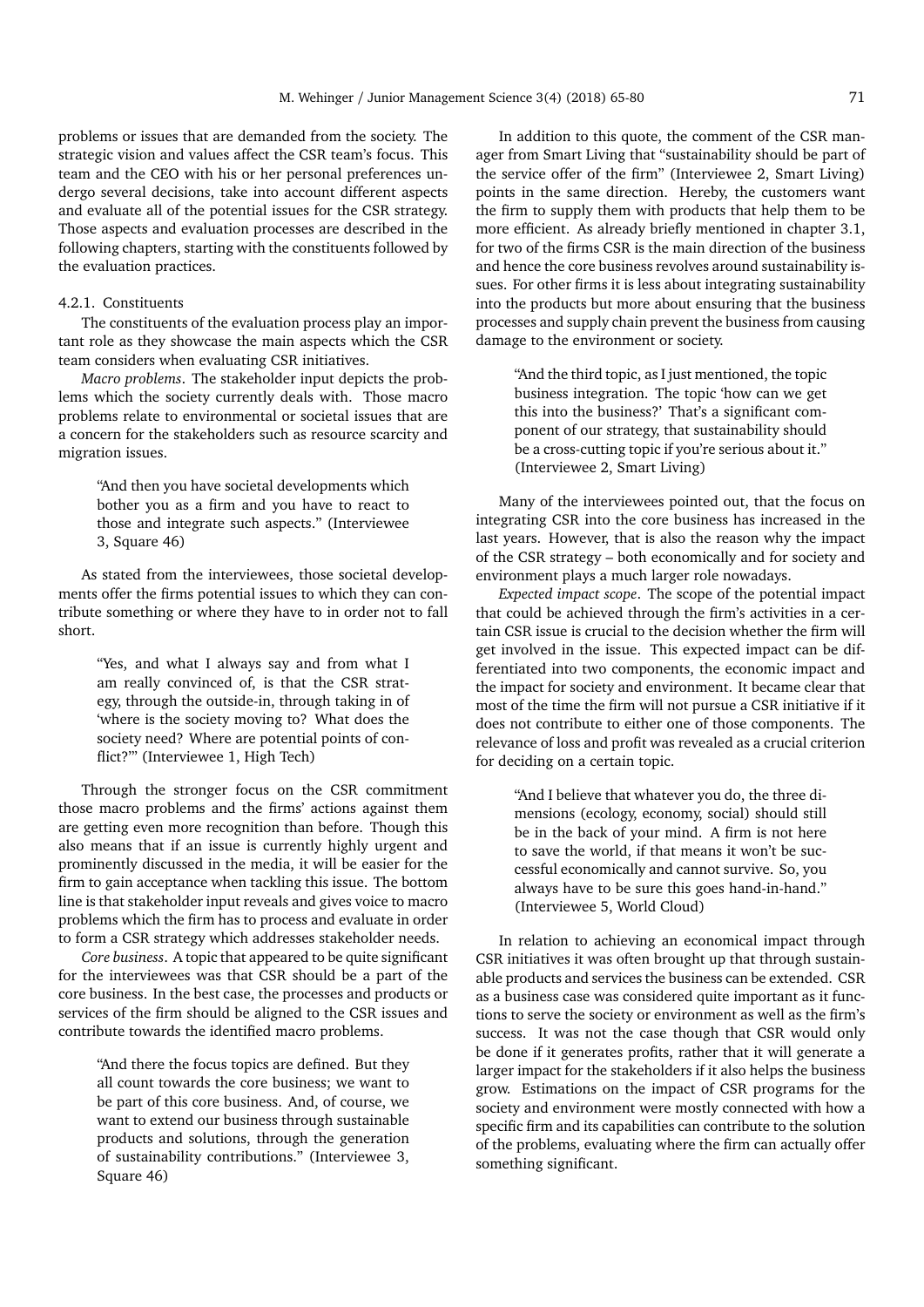problems or issues that are demanded from the society. The strategic vision and values affect the CSR team's focus. This team and the CEO with his or her personal preferences undergo several decisions, take into account different aspects and evaluate all of the potential issues for the CSR strategy. Those aspects and evaluation processes are described in the following chapters, starting with the constituents followed by the evaluation practices.

## 4.2.1. Constituents

The constituents of the evaluation process play an important role as they showcase the main aspects which the CSR team considers when evaluating CSR initiatives.

*Macro problems*. The stakeholder input depicts the problems which the society currently deals with. Those macro problems relate to environmental or societal issues that are a concern for the stakeholders such as resource scarcity and migration issues.

> "And then you have societal developments which bother you as a firm and you have to react to those and integrate such aspects." (Interviewee 3, Square 46)

As stated from the interviewees, those societal developments offer the firms potential issues to which they can contribute something or where they have to in order not to fall short.

> "Yes, and what I always say and from what I am really convinced of, is that the CSR strategy, through the outside-in, through taking in of 'where is the society moving to? What does the society need? Where are potential points of conflict?'" (Interviewee 1, High Tech)

Through the stronger focus on the CSR commitment those macro problems and the firms' actions against them are getting even more recognition than before. Though this also means that if an issue is currently highly urgent and prominently discussed in the media, it will be easier for the firm to gain acceptance when tackling this issue. The bottom line is that stakeholder input reveals and gives voice to macro problems which the firm has to process and evaluate in order to form a CSR strategy which addresses stakeholder needs.

*Core business*. A topic that appeared to be quite significant for the interviewees was that CSR should be a part of the core business. In the best case, the processes and products or services of the firm should be aligned to the CSR issues and contribute towards the identified macro problems.

> "And there the focus topics are defined. But they all count towards the core business; we want to be part of this core business. And, of course, we want to extend our business through sustainable products and solutions, through the generation of sustainability contributions." (Interviewee 3, Square 46)

In addition to this quote, the comment of the CSR manager from Smart Living that "sustainability should be part of the service offer of the firm" (Interviewee 2, Smart Living) points in the same direction. Hereby, the customers want the firm to supply them with products that help them to be more efficient. As already briefly mentioned in chapter 3.1, for two of the firms CSR is the main direction of the business and hence the core business revolves around sustainability issues. For other firms it is less about integrating sustainability into the products but more about ensuring that the business processes and supply chain prevent the business from causing damage to the environment or society.

> "And the third topic, as I just mentioned, the topic business integration. The topic 'how can we get this into the business?' That's a significant component of our strategy, that sustainability should be a cross-cutting topic if you're serious about it." (Interviewee 2, Smart Living)

Many of the interviewees pointed out, that the focus on integrating CSR into the core business has increased in the last years. However, that is also the reason why the impact of the CSR strategy – both economically and for society and environment plays a much larger role nowadays.

*Expected impact scope*. The scope of the potential impact that could be achieved through the firm's activities in a certain CSR issue is crucial to the decision whether the firm will get involved in the issue. This expected impact can be differentiated into two components, the economic impact and the impact for society and environment. It became clear that most of the time the firm will not pursue a CSR initiative if it does not contribute to either one of those components. The relevance of loss and profit was revealed as a crucial criterion for deciding on a certain topic.

> "And I believe that whatever you do, the three dimensions (ecology, economy, social) should still be in the back of your mind. A firm is not here to save the world, if that means it won't be successful economically and cannot survive. So, you always have to be sure this goes hand-in-hand." (Interviewee 5, World Cloud)

In relation to achieving an economical impact through CSR initiatives it was often brought up that through sustainable products and services the business can be extended. CSR as a business case was considered quite important as it functions to serve the society or environment as well as the firm's success. It was not the case though that CSR would only be done if it generates profits, rather that it will generate a larger impact for the stakeholders if it also helps the business grow. Estimations on the impact of CSR programs for the society and environment were mostly connected with how a specific firm and its capabilities can contribute to the solution of the problems, evaluating where the firm can actually offer something significant.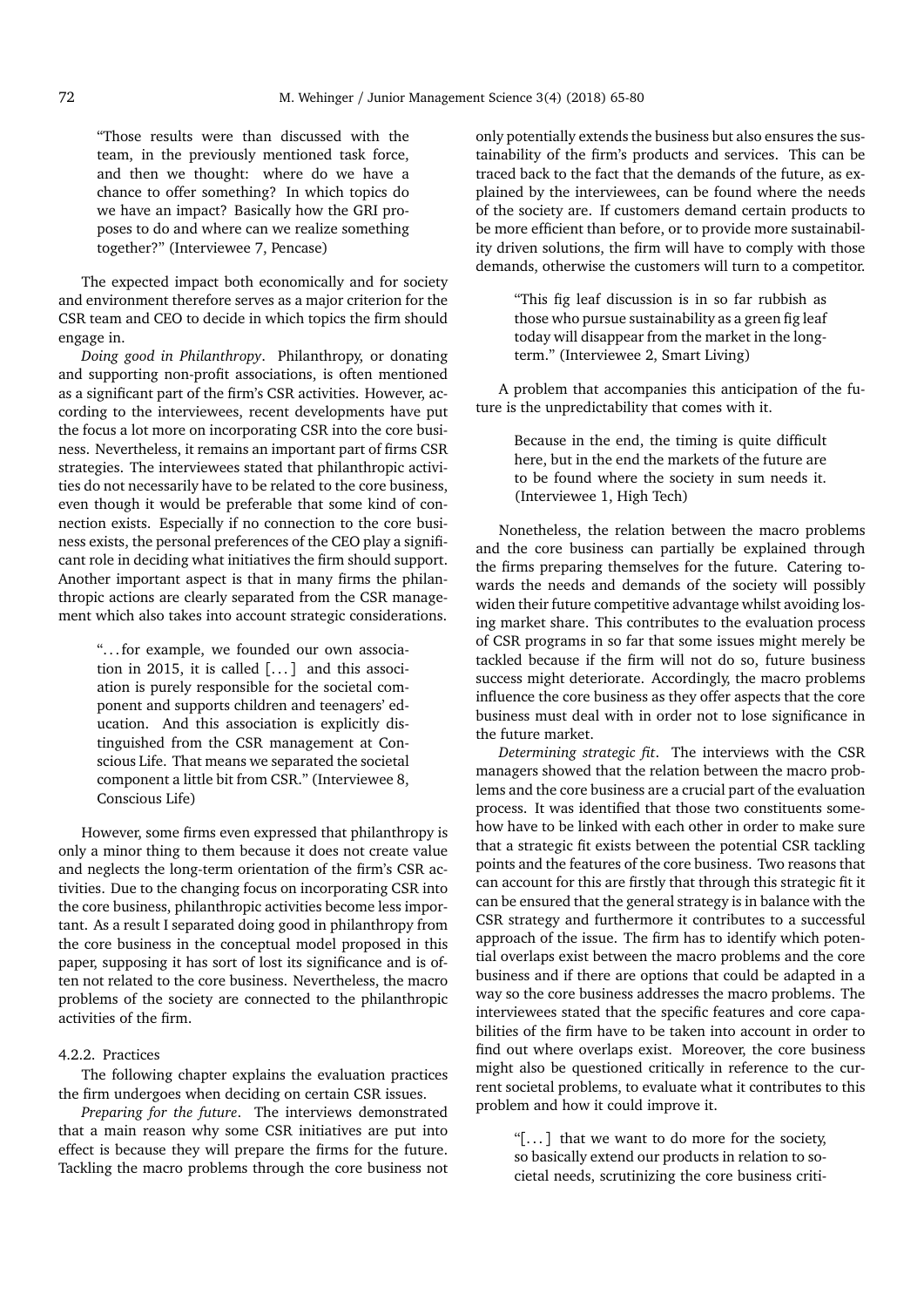"Those results were than discussed with the team, in the previously mentioned task force, and then we thought: where do we have a chance to offer something? In which topics do we have an impact? Basically how the GRI proposes to do and where can we realize something together?" (Interviewee 7, Pencase)

The expected impact both economically and for society and environment therefore serves as a major criterion for the CSR team and CEO to decide in which topics the firm should engage in.

*Doing good in Philanthropy*. Philanthropy, or donating and supporting non-profit associations, is often mentioned as a significant part of the firm's CSR activities. However, according to the interviewees, recent developments have put the focus a lot more on incorporating CSR into the core business. Nevertheless, it remains an important part of firms CSR strategies. The interviewees stated that philanthropic activities do not necessarily have to be related to the core business, even though it would be preferable that some kind of connection exists. Especially if no connection to the core business exists, the personal preferences of the CEO play a significant role in deciding what initiatives the firm should support. Another important aspect is that in many firms the philanthropic actions are clearly separated from the CSR management which also takes into account strategic considerations.

> ". . . for example, we founded our own association in 2015, it is called  $[\dots]$  and this association is purely responsible for the societal component and supports children and teenagers' education. And this association is explicitly distinguished from the CSR management at Conscious Life. That means we separated the societal component a little bit from CSR." (Interviewee 8, Conscious Life)

However, some firms even expressed that philanthropy is only a minor thing to them because it does not create value and neglects the long-term orientation of the firm's CSR activities. Due to the changing focus on incorporating CSR into the core business, philanthropic activities become less important. As a result I separated doing good in philanthropy from the core business in the conceptual model proposed in this paper, supposing it has sort of lost its significance and is often not related to the core business. Nevertheless, the macro problems of the society are connected to the philanthropic activities of the firm.

# 4.2.2. Practices

The following chapter explains the evaluation practices the firm undergoes when deciding on certain CSR issues.

*Preparing for the future*. The interviews demonstrated that a main reason why some CSR initiatives are put into effect is because they will prepare the firms for the future. Tackling the macro problems through the core business not only potentially extends the business but also ensures the sustainability of the firm's products and services. This can be traced back to the fact that the demands of the future, as explained by the interviewees, can be found where the needs of the society are. If customers demand certain products to be more efficient than before, or to provide more sustainability driven solutions, the firm will have to comply with those demands, otherwise the customers will turn to a competitor.

> "This fig leaf discussion is in so far rubbish as those who pursue sustainability as a green fig leaf today will disappear from the market in the longterm." (Interviewee 2, Smart Living)

A problem that accompanies this anticipation of the future is the unpredictability that comes with it.

> Because in the end, the timing is quite difficult here, but in the end the markets of the future are to be found where the society in sum needs it. (Interviewee 1, High Tech)

Nonetheless, the relation between the macro problems and the core business can partially be explained through the firms preparing themselves for the future. Catering towards the needs and demands of the society will possibly widen their future competitive advantage whilst avoiding losing market share. This contributes to the evaluation process of CSR programs in so far that some issues might merely be tackled because if the firm will not do so, future business success might deteriorate. Accordingly, the macro problems influence the core business as they offer aspects that the core business must deal with in order not to lose significance in the future market.

*Determining strategic fit*. The interviews with the CSR managers showed that the relation between the macro problems and the core business are a crucial part of the evaluation process. It was identified that those two constituents somehow have to be linked with each other in order to make sure that a strategic fit exists between the potential CSR tackling points and the features of the core business. Two reasons that can account for this are firstly that through this strategic fit it can be ensured that the general strategy is in balance with the CSR strategy and furthermore it contributes to a successful approach of the issue. The firm has to identify which potential overlaps exist between the macro problems and the core business and if there are options that could be adapted in a way so the core business addresses the macro problems. The interviewees stated that the specific features and core capabilities of the firm have to be taken into account in order to find out where overlaps exist. Moreover, the core business might also be questioned critically in reference to the current societal problems, to evaluate what it contributes to this problem and how it could improve it.

> "[ $\dots$ ] that we want to do more for the society, so basically extend our products in relation to societal needs, scrutinizing the core business criti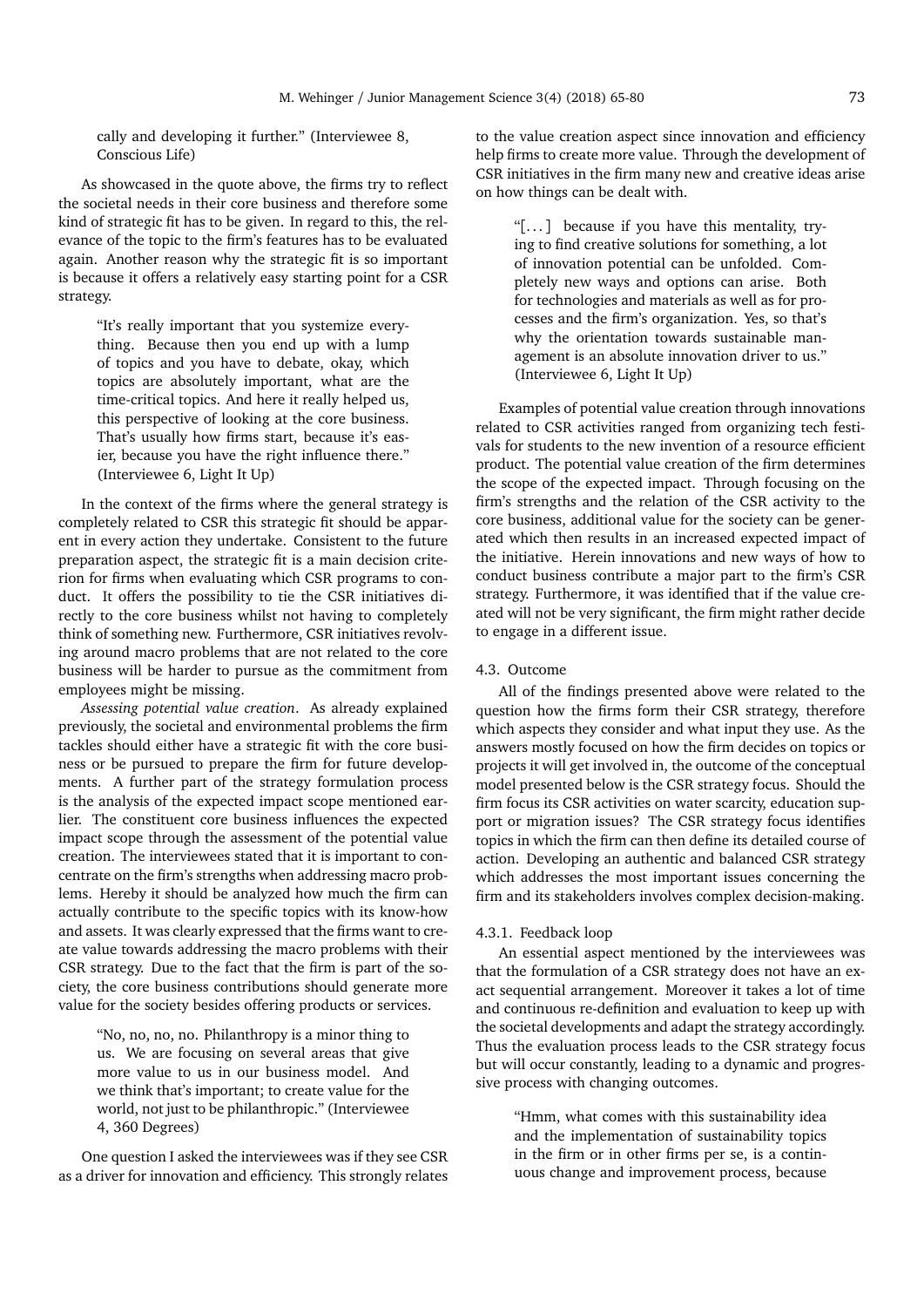cally and developing it further." (Interviewee 8, Conscious Life)

As showcased in the quote above, the firms try to reflect the societal needs in their core business and therefore some kind of strategic fit has to be given. In regard to this, the relevance of the topic to the firm's features has to be evaluated again. Another reason why the strategic fit is so important is because it offers a relatively easy starting point for a CSR strategy.

> "It's really important that you systemize everything. Because then you end up with a lump of topics and you have to debate, okay, which topics are absolutely important, what are the time-critical topics. And here it really helped us, this perspective of looking at the core business. That's usually how firms start, because it's easier, because you have the right influence there." (Interviewee 6, Light It Up)

In the context of the firms where the general strategy is completely related to CSR this strategic fit should be apparent in every action they undertake. Consistent to the future preparation aspect, the strategic fit is a main decision criterion for firms when evaluating which CSR programs to conduct. It offers the possibility to tie the CSR initiatives directly to the core business whilst not having to completely think of something new. Furthermore, CSR initiatives revolving around macro problems that are not related to the core business will be harder to pursue as the commitment from employees might be missing.

*Assessing potential value creation*. As already explained previously, the societal and environmental problems the firm tackles should either have a strategic fit with the core business or be pursued to prepare the firm for future developments. A further part of the strategy formulation process is the analysis of the expected impact scope mentioned earlier. The constituent core business influences the expected impact scope through the assessment of the potential value creation. The interviewees stated that it is important to concentrate on the firm's strengths when addressing macro problems. Hereby it should be analyzed how much the firm can actually contribute to the specific topics with its know-how and assets. It was clearly expressed that the firms want to create value towards addressing the macro problems with their CSR strategy. Due to the fact that the firm is part of the society, the core business contributions should generate more value for the society besides offering products or services.

> "No, no, no, no. Philanthropy is a minor thing to us. We are focusing on several areas that give more value to us in our business model. And we think that's important; to create value for the world, not just to be philanthropic." (Interviewee 4, 360 Degrees)

One question I asked the interviewees was if they see CSR as a driver for innovation and efficiency. This strongly relates to the value creation aspect since innovation and efficiency help firms to create more value. Through the development of CSR initiatives in the firm many new and creative ideas arise on how things can be dealt with.

> "[. . . ] because if you have this mentality, trying to find creative solutions for something, a lot of innovation potential can be unfolded. Completely new ways and options can arise. Both for technologies and materials as well as for processes and the firm's organization. Yes, so that's why the orientation towards sustainable management is an absolute innovation driver to us." (Interviewee 6, Light It Up)

Examples of potential value creation through innovations related to CSR activities ranged from organizing tech festivals for students to the new invention of a resource efficient product. The potential value creation of the firm determines the scope of the expected impact. Through focusing on the firm's strengths and the relation of the CSR activity to the core business, additional value for the society can be generated which then results in an increased expected impact of the initiative. Herein innovations and new ways of how to conduct business contribute a major part to the firm's CSR strategy. Furthermore, it was identified that if the value created will not be very significant, the firm might rather decide to engage in a different issue.

# 4.3. Outcome

All of the findings presented above were related to the question how the firms form their CSR strategy, therefore which aspects they consider and what input they use. As the answers mostly focused on how the firm decides on topics or projects it will get involved in, the outcome of the conceptual model presented below is the CSR strategy focus. Should the firm focus its CSR activities on water scarcity, education support or migration issues? The CSR strategy focus identifies topics in which the firm can then define its detailed course of action. Developing an authentic and balanced CSR strategy which addresses the most important issues concerning the firm and its stakeholders involves complex decision-making.

## 4.3.1. Feedback loop

An essential aspect mentioned by the interviewees was that the formulation of a CSR strategy does not have an exact sequential arrangement. Moreover it takes a lot of time and continuous re-definition and evaluation to keep up with the societal developments and adapt the strategy accordingly. Thus the evaluation process leads to the CSR strategy focus but will occur constantly, leading to a dynamic and progressive process with changing outcomes.

> "Hmm, what comes with this sustainability idea and the implementation of sustainability topics in the firm or in other firms per se, is a continuous change and improvement process, because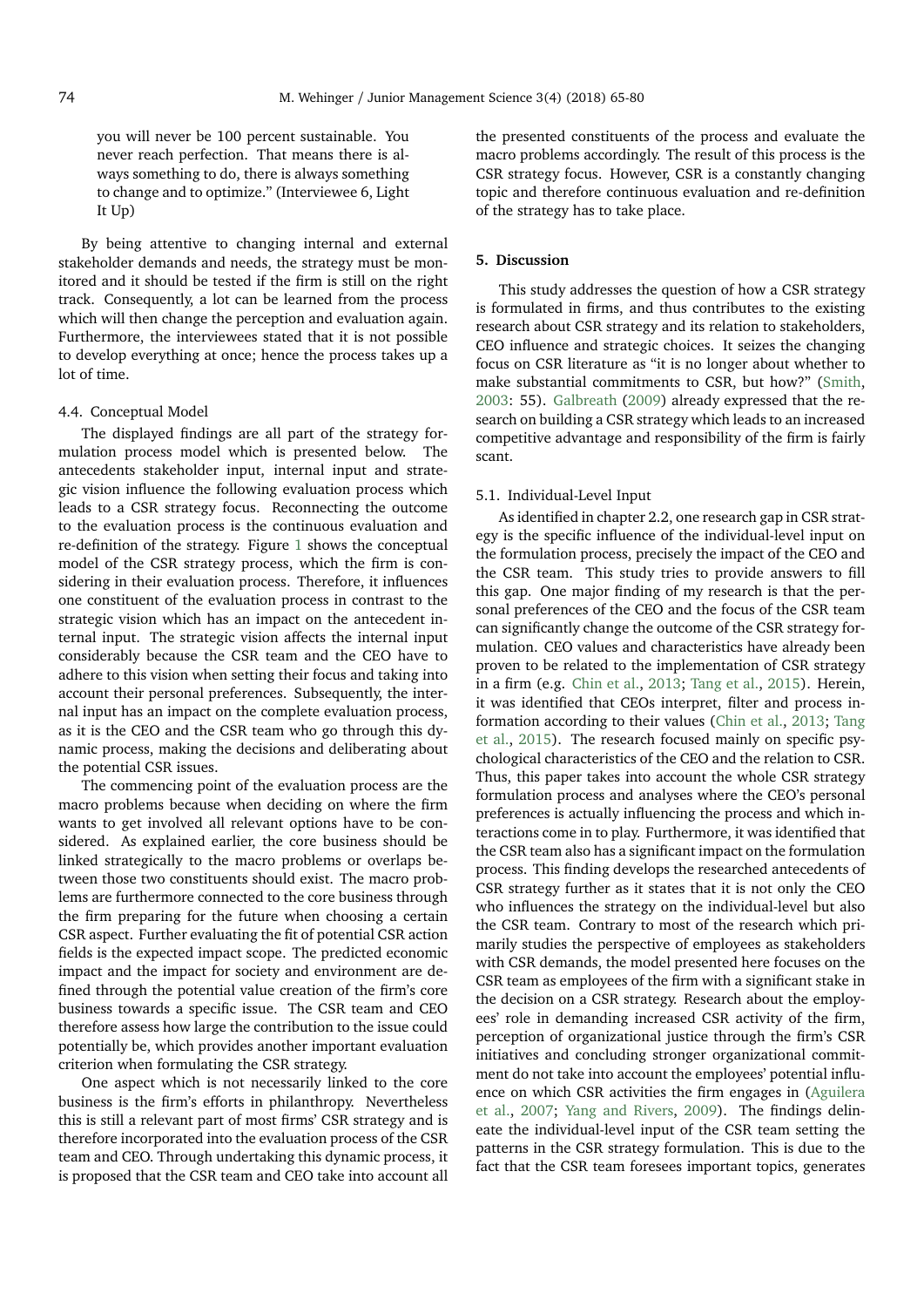you will never be 100 percent sustainable. You never reach perfection. That means there is always something to do, there is always something to change and to optimize." (Interviewee 6, Light It Up)

By being attentive to changing internal and external stakeholder demands and needs, the strategy must be monitored and it should be tested if the firm is still on the right track. Consequently, a lot can be learned from the process which will then change the perception and evaluation again. Furthermore, the interviewees stated that it is not possible to develop everything at once; hence the process takes up a lot of time.

#### 4.4. Conceptual Model

The displayed findings are all part of the strategy formulation process model which is presented below. The antecedents stakeholder input, internal input and strategic vision influence the following evaluation process which leads to a CSR strategy focus. Reconnecting the outcome to the evaluation process is the continuous evaluation and re-definition of the strategy. Figure [1](#page-10-0) shows the conceptual model of the CSR strategy process, which the firm is considering in their evaluation process. Therefore, it influences one constituent of the evaluation process in contrast to the strategic vision which has an impact on the antecedent internal input. The strategic vision affects the internal input considerably because the CSR team and the CEO have to adhere to this vision when setting their focus and taking into account their personal preferences. Subsequently, the internal input has an impact on the complete evaluation process, as it is the CEO and the CSR team who go through this dynamic process, making the decisions and deliberating about the potential CSR issues.

The commencing point of the evaluation process are the macro problems because when deciding on where the firm wants to get involved all relevant options have to be considered. As explained earlier, the core business should be linked strategically to the macro problems or overlaps between those two constituents should exist. The macro problems are furthermore connected to the core business through the firm preparing for the future when choosing a certain CSR aspect. Further evaluating the fit of potential CSR action fields is the expected impact scope. The predicted economic impact and the impact for society and environment are defined through the potential value creation of the firm's core business towards a specific issue. The CSR team and CEO therefore assess how large the contribution to the issue could potentially be, which provides another important evaluation criterion when formulating the CSR strategy.

One aspect which is not necessarily linked to the core business is the firm's efforts in philanthropy. Nevertheless this is still a relevant part of most firms' CSR strategy and is therefore incorporated into the evaluation process of the CSR team and CEO. Through undertaking this dynamic process, it is proposed that the CSR team and CEO take into account all

the presented constituents of the process and evaluate the macro problems accordingly. The result of this process is the CSR strategy focus. However, CSR is a constantly changing topic and therefore continuous evaluation and re-definition of the strategy has to take place.

## **5. Discussion**

This study addresses the question of how a CSR strategy is formulated in firms, and thus contributes to the existing research about CSR strategy and its relation to stakeholders, CEO influence and strategic choices. It seizes the changing focus on CSR literature as "it is no longer about whether to make substantial commitments to CSR, but how?" [\(Smith,](#page-15-1) [2003:](#page-15-1) 55). [Galbreath](#page-14-7) [\(2009\)](#page-14-7) already expressed that the research on building a CSR strategy which leads to an increased competitive advantage and responsibility of the firm is fairly scant.

#### 5.1. Individual-Level Input

As identified in chapter 2.2, one research gap in CSR strategy is the specific influence of the individual-level input on the formulation process, precisely the impact of the CEO and the CSR team. This study tries to provide answers to fill this gap. One major finding of my research is that the personal preferences of the CEO and the focus of the CSR team can significantly change the outcome of the CSR strategy formulation. CEO values and characteristics have already been proven to be related to the implementation of CSR strategy in a firm (e.g. [Chin et al.,](#page-14-12) [2013;](#page-14-12) [Tang et al.,](#page-15-14) [2015\)](#page-15-14). Herein, it was identified that CEOs interpret, filter and process information according to their values [\(Chin et al.,](#page-14-12) [2013;](#page-14-12) [Tang](#page-15-14) [et al.,](#page-15-14) [2015\)](#page-15-14). The research focused mainly on specific psychological characteristics of the CEO and the relation to CSR. Thus, this paper takes into account the whole CSR strategy formulation process and analyses where the CEO's personal preferences is actually influencing the process and which interactions come in to play. Furthermore, it was identified that the CSR team also has a significant impact on the formulation process. This finding develops the researched antecedents of CSR strategy further as it states that it is not only the CEO who influences the strategy on the individual-level but also the CSR team. Contrary to most of the research which primarily studies the perspective of employees as stakeholders with CSR demands, the model presented here focuses on the CSR team as employees of the firm with a significant stake in the decision on a CSR strategy. Research about the employees' role in demanding increased CSR activity of the firm, perception of organizational justice through the firm's CSR initiatives and concluding stronger organizational commitment do not take into account the employees' potential influence on which CSR activities the firm engages in [\(Aguilera](#page-14-49) [et al.,](#page-14-49) [2007;](#page-14-49) [Yang and Rivers,](#page-15-15) [2009\)](#page-15-15). The findings delineate the individual-level input of the CSR team setting the patterns in the CSR strategy formulation. This is due to the fact that the CSR team foresees important topics, generates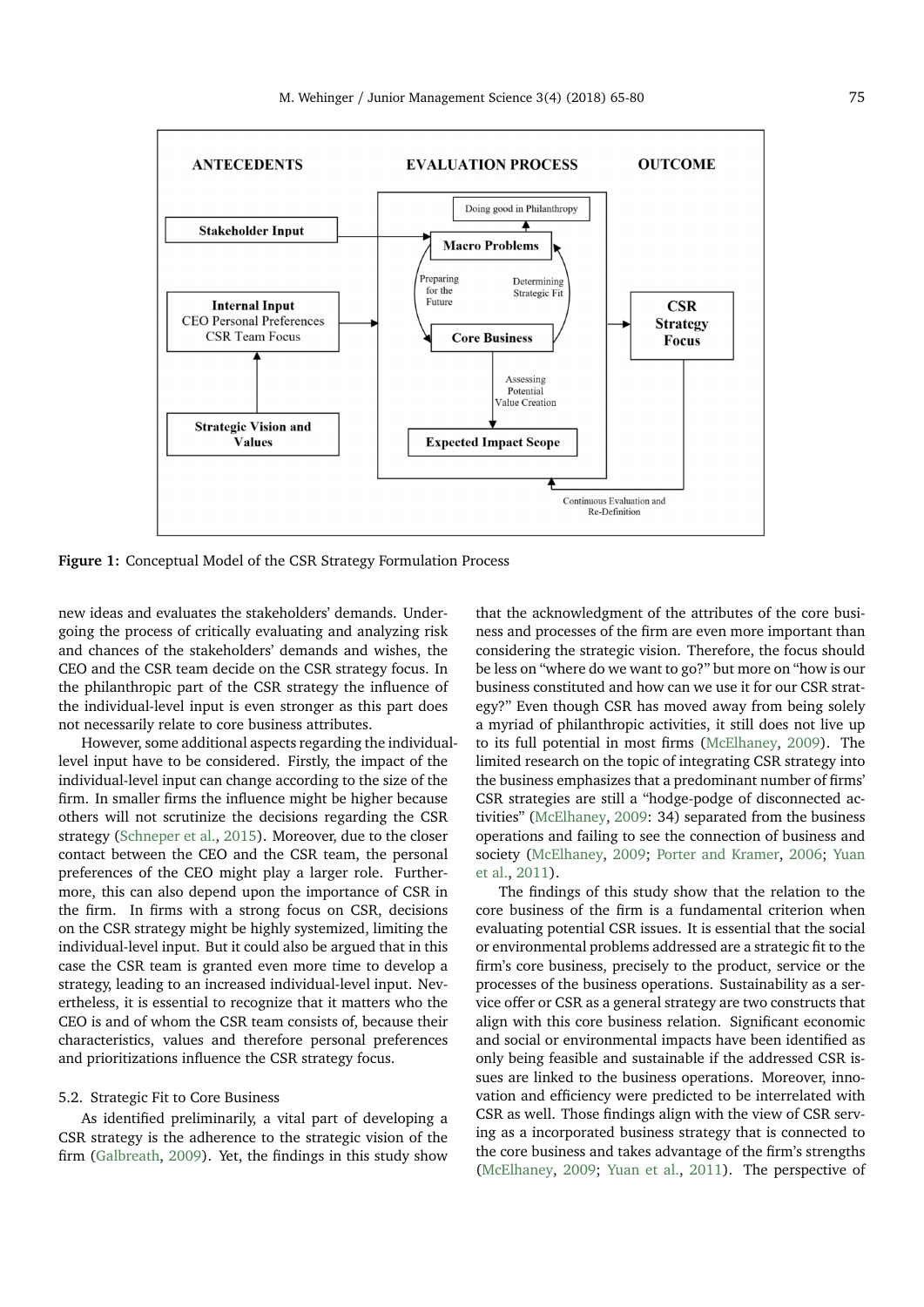<span id="page-10-0"></span>

**Figure 1:** Conceptual Model of the CSR Strategy Formulation Process

new ideas and evaluates the stakeholders' demands. Undergoing the process of critically evaluating and analyzing risk and chances of the stakeholders' demands and wishes, the CEO and the CSR team decide on the CSR strategy focus. In the philanthropic part of the CSR strategy the influence of the individual-level input is even stronger as this part does not necessarily relate to core business attributes.

However, some additional aspects regarding the individuallevel input have to be considered. Firstly, the impact of the individual-level input can change according to the size of the firm. In smaller firms the influence might be higher because others will not scrutinize the decisions regarding the CSR strategy [\(Schneper et al.,](#page-15-16) [2015\)](#page-15-16). Moreover, due to the closer contact between the CEO and the CSR team, the personal preferences of the CEO might play a larger role. Furthermore, this can also depend upon the importance of CSR in the firm. In firms with a strong focus on CSR, decisions on the CSR strategy might be highly systemized, limiting the individual-level input. But it could also be argued that in this case the CSR team is granted even more time to develop a strategy, leading to an increased individual-level input. Nevertheless, it is essential to recognize that it matters who the CEO is and of whom the CSR team consists of, because their characteristics, values and therefore personal preferences and prioritizations influence the CSR strategy focus.

## 5.2. Strategic Fit to Core Business

As identified preliminarily, a vital part of developing a CSR strategy is the adherence to the strategic vision of the firm [\(Galbreath,](#page-14-7) [2009\)](#page-14-7). Yet, the findings in this study show

that the acknowledgment of the attributes of the core business and processes of the firm are even more important than considering the strategic vision. Therefore, the focus should be less on "where do we want to go?" but more on "how is our business constituted and how can we use it for our CSR strategy?" Even though CSR has moved away from being solely a myriad of philanthropic activities, it still does not live up to its full potential in most firms [\(McElhaney,](#page-14-6) [2009\)](#page-14-6). The limited research on the topic of integrating CSR strategy into the business emphasizes that a predominant number of firms' CSR strategies are still a "hodge-podge of disconnected activities" [\(McElhaney,](#page-14-6) [2009:](#page-14-6) 34) separated from the business operations and failing to see the connection of business and society [\(McElhaney,](#page-14-6) [2009;](#page-14-6) [Porter and Kramer,](#page-15-2) [2006;](#page-15-2) [Yuan](#page-15-17) [et al.,](#page-15-17) [2011\)](#page-15-17).

The findings of this study show that the relation to the core business of the firm is a fundamental criterion when evaluating potential CSR issues. It is essential that the social or environmental problems addressed are a strategic fit to the firm's core business, precisely to the product, service or the processes of the business operations. Sustainability as a service offer or CSR as a general strategy are two constructs that align with this core business relation. Significant economic and social or environmental impacts have been identified as only being feasible and sustainable if the addressed CSR issues are linked to the business operations. Moreover, innovation and efficiency were predicted to be interrelated with CSR as well. Those findings align with the view of CSR serving as a incorporated business strategy that is connected to the core business and takes advantage of the firm's strengths [\(McElhaney,](#page-14-6) [2009;](#page-14-6) [Yuan et al.,](#page-15-17) [2011\)](#page-15-17). The perspective of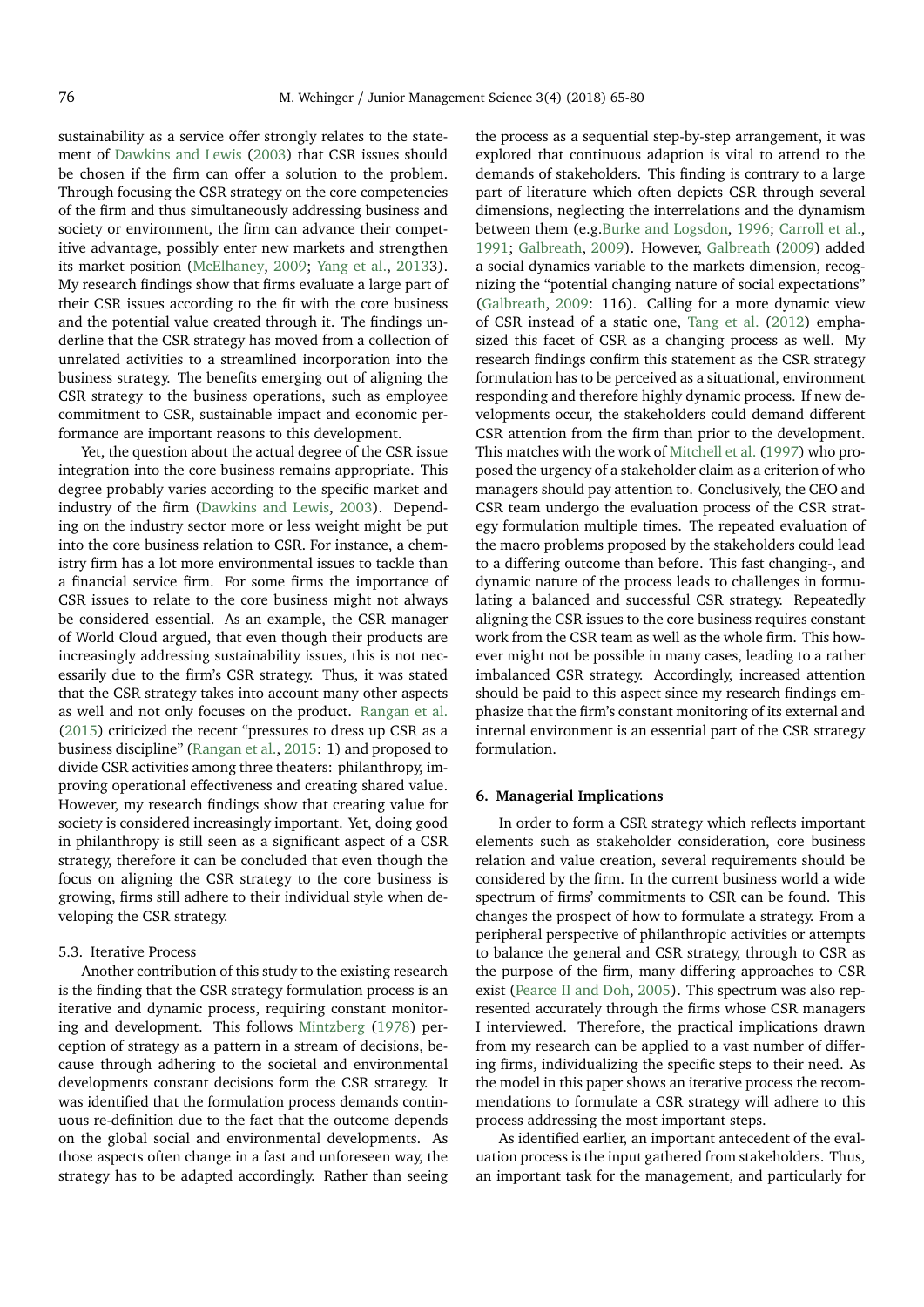sustainability as a service offer strongly relates to the statement of [Dawkins and Lewis](#page-14-50) [\(2003\)](#page-14-50) that CSR issues should be chosen if the firm can offer a solution to the problem. Through focusing the CSR strategy on the core competencies of the firm and thus simultaneously addressing business and society or environment, the firm can advance their competitive advantage, possibly enter new markets and strengthen its market position [\(McElhaney,](#page-14-6) [2009;](#page-14-6) [Yang et al.,](#page-15-4) [20133](#page-15-4)). My research findings show that firms evaluate a large part of their CSR issues according to the fit with the core business and the potential value created through it. The findings underline that the CSR strategy has moved from a collection of unrelated activities to a streamlined incorporation into the business strategy. The benefits emerging out of aligning the CSR strategy to the business operations, such as employee commitment to CSR, sustainable impact and economic performance are important reasons to this development.

Yet, the question about the actual degree of the CSR issue integration into the core business remains appropriate. This degree probably varies according to the specific market and industry of the firm [\(Dawkins and Lewis,](#page-14-50) [2003\)](#page-14-50). Depending on the industry sector more or less weight might be put into the core business relation to CSR. For instance, a chemistry firm has a lot more environmental issues to tackle than a financial service firm. For some firms the importance of CSR issues to relate to the core business might not always be considered essential. As an example, the CSR manager of World Cloud argued, that even though their products are increasingly addressing sustainability issues, this is not necessarily due to the firm's CSR strategy. Thus, it was stated that the CSR strategy takes into account many other aspects as well and not only focuses on the product. [Rangan et al.](#page-15-3) [\(2015\)](#page-15-3) criticized the recent "pressures to dress up CSR as a business discipline" [\(Rangan et al.,](#page-15-3) [2015:](#page-15-3) 1) and proposed to divide CSR activities among three theaters: philanthropy, improving operational effectiveness and creating shared value. However, my research findings show that creating value for society is considered increasingly important. Yet, doing good in philanthropy is still seen as a significant aspect of a CSR strategy, therefore it can be concluded that even though the focus on aligning the CSR strategy to the core business is growing, firms still adhere to their individual style when developing the CSR strategy.

## 5.3. Iterative Process

Another contribution of this study to the existing research is the finding that the CSR strategy formulation process is an iterative and dynamic process, requiring constant monitoring and development. This follows [Mintzberg](#page-14-23) [\(1978\)](#page-14-23) perception of strategy as a pattern in a stream of decisions, because through adhering to the societal and environmental developments constant decisions form the CSR strategy. It was identified that the formulation process demands continuous re-definition due to the fact that the outcome depends on the global social and environmental developments. As those aspects often change in a fast and unforeseen way, the strategy has to be adapted accordingly. Rather than seeing the process as a sequential step-by-step arrangement, it was explored that continuous adaption is vital to attend to the demands of stakeholders. This finding is contrary to a large part of literature which often depicts CSR through several dimensions, neglecting the interrelations and the dynamism between them (e.g[.Burke and Logsdon,](#page-14-43) [1996;](#page-14-43) [Carroll et al.,](#page-14-17) [1991;](#page-14-17) [Galbreath,](#page-14-7) [2009\)](#page-14-7). However, [Galbreath](#page-14-7) [\(2009\)](#page-14-7) added a social dynamics variable to the markets dimension, recognizing the "potential changing nature of social expectations" [\(Galbreath,](#page-14-7) [2009:](#page-14-7) 116). Calling for a more dynamic view of CSR instead of a static one, [Tang et al.](#page-15-18) [\(2012\)](#page-15-18) emphasized this facet of CSR as a changing process as well. My research findings confirm this statement as the CSR strategy formulation has to be perceived as a situational, environment responding and therefore highly dynamic process. If new developments occur, the stakeholders could demand different CSR attention from the firm than prior to the development. This matches with the work of [Mitchell et al.](#page-14-26) [\(1997\)](#page-14-26) who proposed the urgency of a stakeholder claim as a criterion of who managers should pay attention to. Conclusively, the CEO and CSR team undergo the evaluation process of the CSR strategy formulation multiple times. The repeated evaluation of the macro problems proposed by the stakeholders could lead to a differing outcome than before. This fast changing-, and dynamic nature of the process leads to challenges in formulating a balanced and successful CSR strategy. Repeatedly aligning the CSR issues to the core business requires constant work from the CSR team as well as the whole firm. This however might not be possible in many cases, leading to a rather imbalanced CSR strategy. Accordingly, increased attention should be paid to this aspect since my research findings emphasize that the firm's constant monitoring of its external and internal environment is an essential part of the CSR strategy formulation.

#### **6. Managerial Implications**

In order to form a CSR strategy which reflects important elements such as stakeholder consideration, core business relation and value creation, several requirements should be considered by the firm. In the current business world a wide spectrum of firms' commitments to CSR can be found. This changes the prospect of how to formulate a strategy. From a peripheral perspective of philanthropic activities or attempts to balance the general and CSR strategy, through to CSR as the purpose of the firm, many differing approaches to CSR exist [\(Pearce II and Doh,](#page-15-19) [2005\)](#page-15-19). This spectrum was also represented accurately through the firms whose CSR managers I interviewed. Therefore, the practical implications drawn from my research can be applied to a vast number of differing firms, individualizing the specific steps to their need. As the model in this paper shows an iterative process the recommendations to formulate a CSR strategy will adhere to this process addressing the most important steps.

As identified earlier, an important antecedent of the evaluation process is the input gathered from stakeholders. Thus, an important task for the management, and particularly for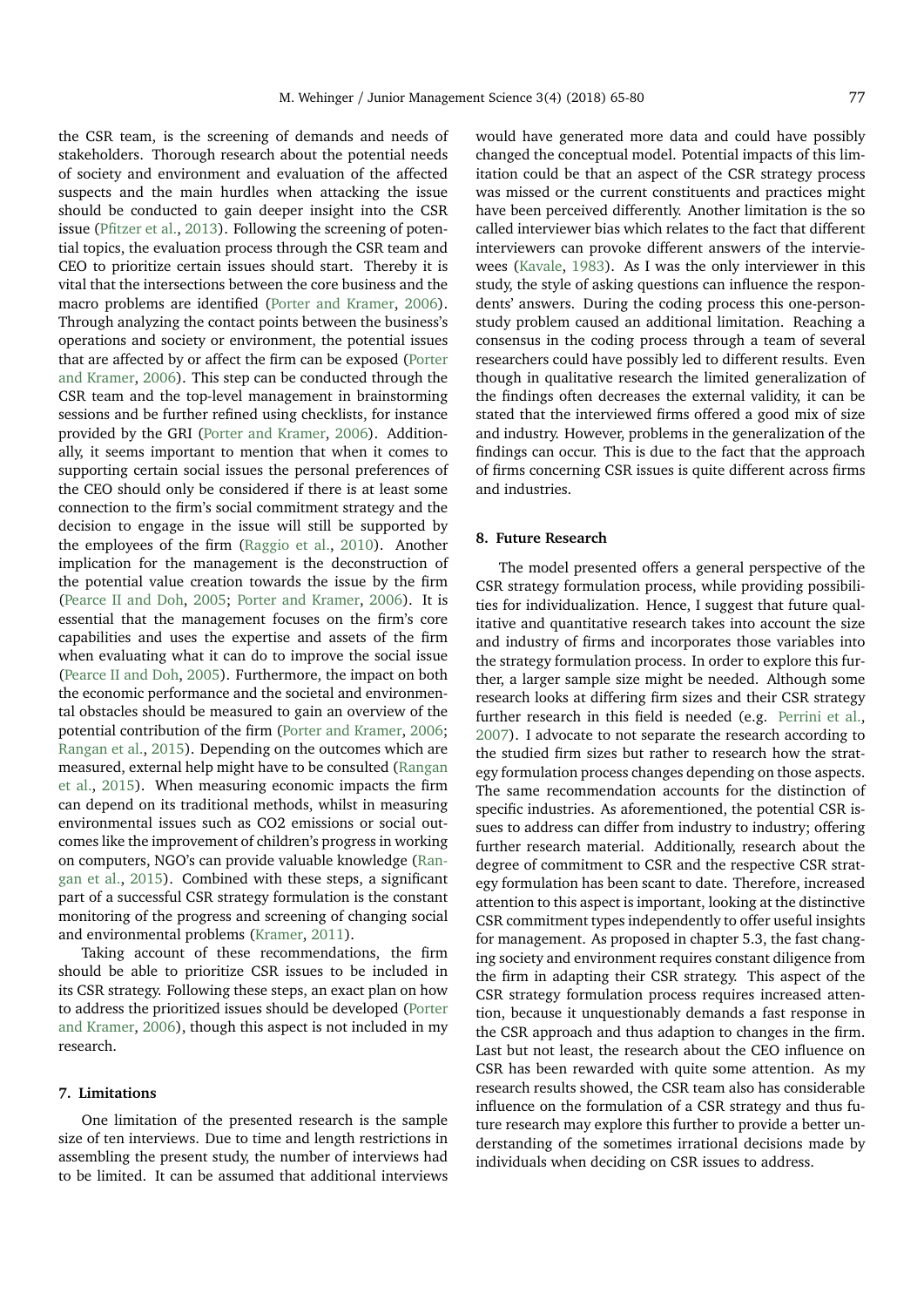the CSR team, is the screening of demands and needs of stakeholders. Thorough research about the potential needs of society and environment and evaluation of the affected suspects and the main hurdles when attacking the issue should be conducted to gain deeper insight into the CSR issue [\(Pfitzer et al.,](#page-15-20) [2013\)](#page-15-20). Following the screening of potential topics, the evaluation process through the CSR team and CEO to prioritize certain issues should start. Thereby it is vital that the intersections between the core business and the macro problems are identified [\(Porter and Kramer,](#page-15-2) [2006\)](#page-15-2). Through analyzing the contact points between the business's operations and society or environment, the potential issues that are affected by or affect the firm can be exposed [\(Porter](#page-15-2) [and Kramer,](#page-15-2) [2006\)](#page-15-2). This step can be conducted through the CSR team and the top-level management in brainstorming sessions and be further refined using checklists, for instance provided by the GRI [\(Porter and Kramer,](#page-15-2) [2006\)](#page-15-2). Additionally, it seems important to mention that when it comes to supporting certain social issues the personal preferences of the CEO should only be considered if there is at least some connection to the firm's social commitment strategy and the decision to engage in the issue will still be supported by the employees of the firm [\(Raggio et al.,](#page-15-21) [2010\)](#page-15-21). Another implication for the management is the deconstruction of the potential value creation towards the issue by the firm [\(Pearce II and Doh,](#page-15-19) [2005;](#page-15-19) [Porter and Kramer,](#page-15-2) [2006\)](#page-15-2). It is essential that the management focuses on the firm's core capabilities and uses the expertise and assets of the firm when evaluating what it can do to improve the social issue [\(Pearce II and Doh,](#page-15-19) [2005\)](#page-15-19). Furthermore, the impact on both the economic performance and the societal and environmental obstacles should be measured to gain an overview of the potential contribution of the firm [\(Porter and Kramer,](#page-15-2) [2006;](#page-15-2) [Rangan et al.,](#page-15-3) [2015\)](#page-15-3). Depending on the outcomes which are measured, external help might have to be consulted [\(Rangan](#page-15-3) [et al.,](#page-15-3) [2015\)](#page-15-3). When measuring economic impacts the firm can depend on its traditional methods, whilst in measuring environmental issues such as CO2 emissions or social outcomes like the improvement of children's progress in working on computers, NGO's can provide valuable knowledge [\(Ran](#page-15-3)[gan et al.,](#page-15-3) [2015\)](#page-15-3). Combined with these steps, a significant

and environmental problems [\(Kramer,](#page-14-51) [2011\)](#page-14-51). Taking account of these recommendations, the firm should be able to prioritize CSR issues to be included in its CSR strategy. Following these steps, an exact plan on how to address the prioritized issues should be developed [\(Porter](#page-15-2) [and Kramer,](#page-15-2) [2006\)](#page-15-2), though this aspect is not included in my research.

part of a successful CSR strategy formulation is the constant monitoring of the progress and screening of changing social

# **7. Limitations**

One limitation of the presented research is the sample size of ten interviews. Due to time and length restrictions in assembling the present study, the number of interviews had to be limited. It can be assumed that additional interviews

would have generated more data and could have possibly changed the conceptual model. Potential impacts of this limitation could be that an aspect of the CSR strategy process was missed or the current constituents and practices might have been perceived differently. Another limitation is the so called interviewer bias which relates to the fact that different interviewers can provoke different answers of the interviewees [\(Kavale,](#page-14-52) [1983\)](#page-14-52). As I was the only interviewer in this study, the style of asking questions can influence the respondents' answers. During the coding process this one-personstudy problem caused an additional limitation. Reaching a consensus in the coding process through a team of several researchers could have possibly led to different results. Even though in qualitative research the limited generalization of the findings often decreases the external validity, it can be stated that the interviewed firms offered a good mix of size and industry. However, problems in the generalization of the findings can occur. This is due to the fact that the approach of firms concerning CSR issues is quite different across firms and industries.

## **8. Future Research**

The model presented offers a general perspective of the CSR strategy formulation process, while providing possibilities for individualization. Hence, I suggest that future qualitative and quantitative research takes into account the size and industry of firms and incorporates those variables into the strategy formulation process. In order to explore this further, a larger sample size might be needed. Although some research looks at differing firm sizes and their CSR strategy further research in this field is needed (e.g. [Perrini et al.,](#page-15-22) [2007\)](#page-15-22). I advocate to not separate the research according to the studied firm sizes but rather to research how the strategy formulation process changes depending on those aspects. The same recommendation accounts for the distinction of specific industries. As aforementioned, the potential CSR issues to address can differ from industry to industry; offering further research material. Additionally, research about the degree of commitment to CSR and the respective CSR strategy formulation has been scant to date. Therefore, increased attention to this aspect is important, looking at the distinctive CSR commitment types independently to offer useful insights for management. As proposed in chapter 5.3, the fast changing society and environment requires constant diligence from the firm in adapting their CSR strategy. This aspect of the CSR strategy formulation process requires increased attention, because it unquestionably demands a fast response in the CSR approach and thus adaption to changes in the firm. Last but not least, the research about the CEO influence on CSR has been rewarded with quite some attention. As my research results showed, the CSR team also has considerable influence on the formulation of a CSR strategy and thus future research may explore this further to provide a better understanding of the sometimes irrational decisions made by individuals when deciding on CSR issues to address.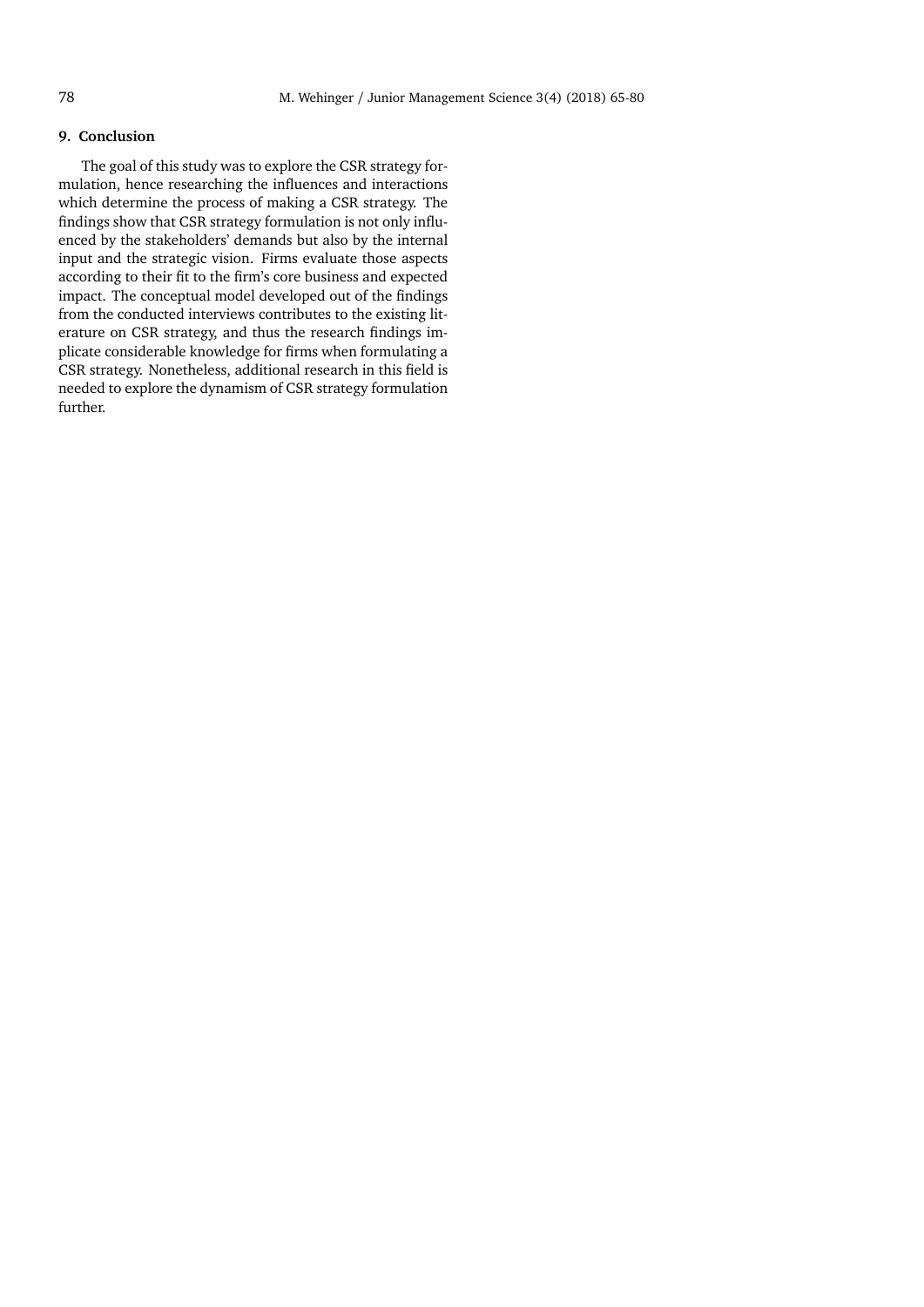# **9. Conclusion**

The goal of this study was to explore the CSR strategy formulation, hence researching the influences and interactions which determine the process of making a CSR strategy. The findings show that CSR strategy formulation is not only influenced by the stakeholders' demands but also by the internal input and the strategic vision. Firms evaluate those aspects according to their fit to the firm's core business and expected impact. The conceptual model developed out of the findings from the conducted interviews contributes to the existing literature on CSR strategy, and thus the research findings implicate considerable knowledge for firms when formulating a CSR strategy. Nonetheless, additional research in this field is needed to explore the dynamism of CSR strategy formulation further.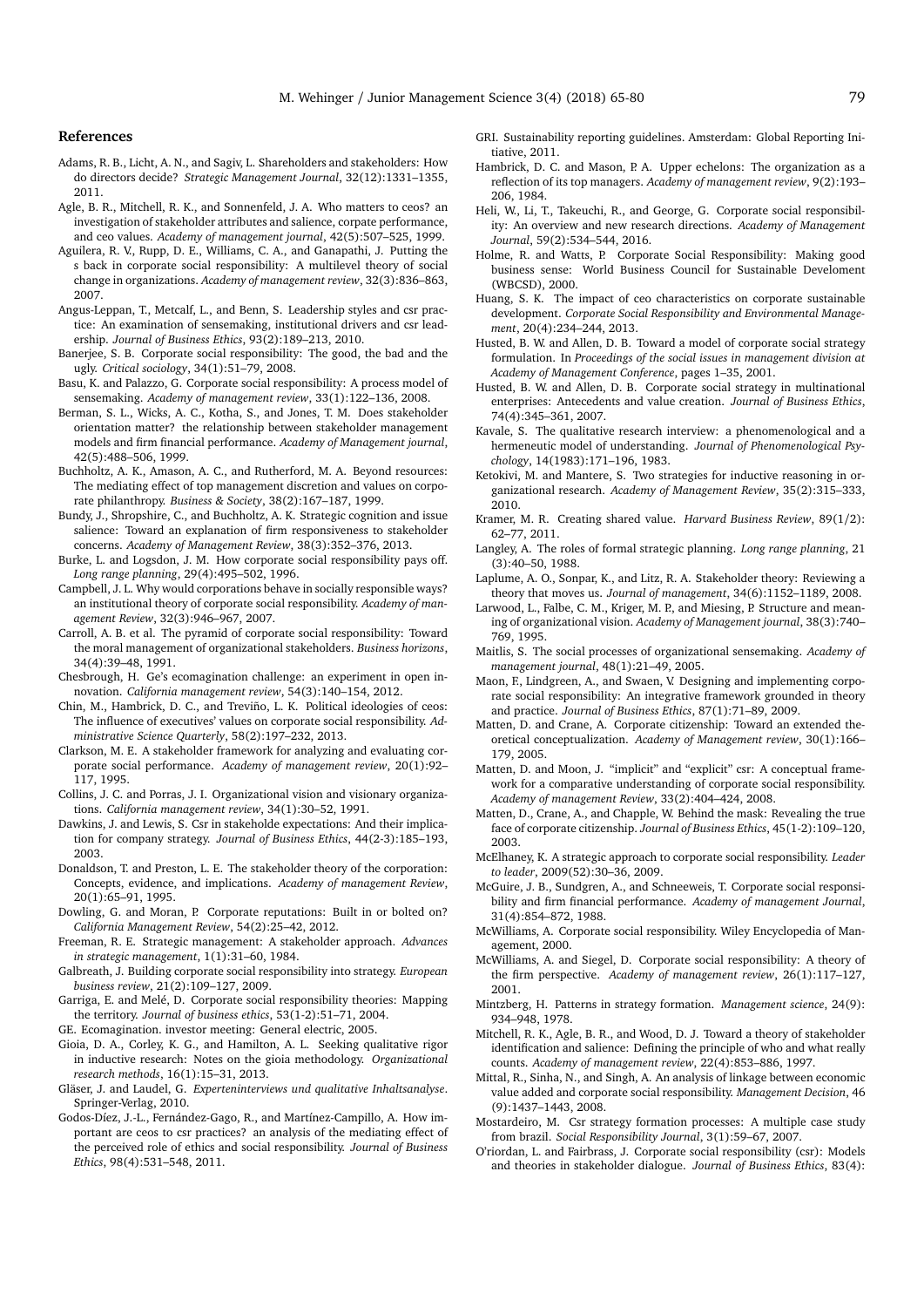#### **References**

- <span id="page-14-11"></span>Adams, R. B., Licht, A. N., and Sagiv, L. Shareholders and stakeholders: How do directors decide? *Strategic Management Journal*, 32(12):1331–1355, 2011.
- <span id="page-14-32"></span>Agle, B. R., Mitchell, R. K., and Sonnenfeld, J. A. Who matters to ceos? an investigation of stakeholder attributes and salience, corpate performance, and ceo values. *Academy of management journal*, 42(5):507–525, 1999.
- <span id="page-14-49"></span>Aguilera, R. V., Rupp, D. E., Williams, C. A., and Ganapathi, J. Putting the s back in corporate social responsibility: A multilevel theory of social change in organizations. *Academy of management review*, 32(3):836–863, 2007.
- <span id="page-14-38"></span>Angus-Leppan, T., Metcalf, L., and Benn, S. Leadership styles and csr practice: An examination of sensemaking, institutional drivers and csr leadership. *Journal of Business Ethics*, 93(2):189–213, 2010.
- <span id="page-14-5"></span>Banerjee, S. B. Corporate social responsibility: The good, the bad and the ugly. *Critical sociology*, 34(1):51–79, 2008.
- <span id="page-14-9"></span>Basu, K. and Palazzo, G. Corporate social responsibility: A process model of sensemaking. *Academy of management review*, 33(1):122–136, 2008.
- <span id="page-14-36"></span>Berman, S. L., Wicks, A. C., Kotha, S., and Jones, T. M. Does stakeholder orientation matter? the relationship between stakeholder management models and firm financial performance. *Academy of Management journal*, 42(5):488–506, 1999.
- <span id="page-14-33"></span>Buchholtz, A. K., Amason, A. C., and Rutherford, M. A. Beyond resources: The mediating effect of top management discretion and values on corporate philanthropy. *Business & Society*, 38(2):167–187, 1999.
- <span id="page-14-10"></span>Bundy, J., Shropshire, C., and Buchholtz, A. K. Strategic cognition and issue salience: Toward an explanation of firm responsiveness to stakeholder concerns. *Academy of Management Review*, 38(3):352–376, 2013.
- <span id="page-14-43"></span>Burke, L. and Logsdon, J. M. How corporate social responsibility pays off. *Long range planning*, 29(4):495–502, 1996.
- <span id="page-14-28"></span>Campbell, J. L. Why would corporations behave in socially responsible ways? an institutional theory of corporate social responsibility. *Academy of management Review*, 32(3):946–967, 2007.
- <span id="page-14-17"></span>Carroll, A. B. et al. The pyramid of corporate social responsibility: Toward the moral management of organizational stakeholders. *Business horizons*, 34(4):39–48, 1991.
- <span id="page-14-0"></span>Chesbrough, H. Ge's ecomagination challenge: an experiment in open innovation. *California management review*, 54(3):140–154, 2012.
- <span id="page-14-12"></span>Chin, M., Hambrick, D. C., and Treviño, L. K. Political ideologies of ceos: The influence of executives' values on corporate social responsibility. *Administrative Science Quarterly*, 58(2):197–232, 2013.
- <span id="page-14-25"></span>Clarkson, M. E. A stakeholder framework for analyzing and evaluating corporate social performance. *Academy of management review*, 20(1):92– 117, 1995.
- <span id="page-14-40"></span>Collins, J. C. and Porras, J. I. Organizational vision and visionary organizations. *California management review*, 34(1):30–52, 1991.
- <span id="page-14-50"></span>Dawkins, J. and Lewis, S. Csr in stakeholde expectations: And their implication for company strategy. *Journal of Business Ethics*, 44(2-3):185–193, 2003.
- <span id="page-14-27"></span>Donaldson, T. and Preston, L. E. The stakeholder theory of the corporation: Concepts, evidence, and implications. *Academy of management Review*, 20(1):65–91, 1995.
- <span id="page-14-1"></span>Dowling, G. and Moran, P. Corporate reputations: Built in or bolted on? *California Management Review*, 54(2):25–42, 2012.
- <span id="page-14-24"></span>Freeman, R. E. Strategic management: A stakeholder approach. *Advances in strategic management*, 1(1):31–60, 1984.
- <span id="page-14-7"></span>Galbreath, J. Building corporate social responsibility into strategy. *European business review*, 21(2):109–127, 2009.
- <span id="page-14-22"></span>Garriga, E. and Melé, D. Corporate social responsibility theories: Mapping the territory. *Journal of business ethics*, 53(1-2):51–71, 2004.
- <span id="page-14-2"></span>GE. Ecomagination. investor meeting: General electric, 2005.
- <span id="page-14-48"></span>Gioia, D. A., Corley, K. G., and Hamilton, A. L. Seeking qualitative rigor in inductive research: Notes on the gioia methodology. *Organizational research methods*, 16(1):15–31, 2013.
- <span id="page-14-46"></span>Gläser, J. and Laudel, G. *Experteninterviews und qualitative Inhaltsanalyse*. Springer-Verlag, 2010.
- <span id="page-14-34"></span>Godos-Díez, J.-L., Fernández-Gago, R., and Martínez-Campillo, A. How important are ceos to csr practices? an analysis of the mediating effect of the perceived role of ethics and social responsibility. *Journal of Business Ethics*, 98(4):531–548, 2011.
- <span id="page-14-45"></span>GRI. Sustainability reporting guidelines. Amsterdam: Global Reporting Initiative, 2011.
- <span id="page-14-13"></span>Hambrick, D. C. and Mason, P. A. Upper echelons: The organization as a reflection of its top managers. *Academy of management review*, 9(2):193– 206, 1984.
- <span id="page-14-3"></span>Heli, W., Li, T., Takeuchi, R., and George, G. Corporate social responsibility: An overview and new research directions. *Academy of Management Journal*, 59(2):534–544, 2016.
- <span id="page-14-18"></span>Holme, R. and Watts, P. Corporate Social Responsibility: Making good business sense: World Business Council for Sustainable Develoment (WBCSD), 2000.
- <span id="page-14-35"></span>Huang, S. K. The impact of ceo characteristics on corporate sustainable development. *Corporate Social Responsibility and Environmental Management*, 20(4):234–244, 2013.
- <span id="page-14-14"></span>Husted, B. W. and Allen, D. B. Toward a model of corporate social strategy formulation. In *Proceedings of the social issues in management division at Academy of Management Conference*, pages 1–35, 2001.
- <span id="page-14-15"></span>Husted, B. W. and Allen, D. B. Corporate social strategy in multinational enterprises: Antecedents and value creation. *Journal of Business Ethics*, 74(4):345–361, 2007.
- <span id="page-14-52"></span>Kavale, S. The qualitative research interview: a phenomenological and a hermeneutic model of understanding. *Journal of Phenomenological Psychology*, 14(1983):171–196, 1983.
- <span id="page-14-47"></span>Ketokivi, M. and Mantere, S. Two strategies for inductive reasoning in organizational research. *Academy of Management Review*, 35(2):315–333, 2010.
- <span id="page-14-51"></span>Kramer, M. R. Creating shared value. *Harvard Business Review*, 89(1/2): 62–77, 2011.
- <span id="page-14-41"></span>Langley, A. The roles of formal strategic planning. *Long range planning*, 21 (3):40–50, 1988.
- <span id="page-14-30"></span>Laplume, A. O., Sonpar, K., and Litz, R. A. Stakeholder theory: Reviewing a theory that moves us. *Journal of management*, 34(6):1152–1189, 2008.

<span id="page-14-39"></span>Larwood, L., Falbe, C. M., Kriger, M. P., and Miesing, P. Structure and meaning of organizational vision. *Academy of Management journal*, 38(3):740– 769, 1995.

- <span id="page-14-44"></span>Maitlis, S. The social processes of organizational sensemaking. *Academy of management journal*, 48(1):21–49, 2005.
- <span id="page-14-42"></span>Maon, F., Lindgreen, A., and Swaen, V. Designing and implementing corporate social responsibility: An integrative framework grounded in theory and practice. *Journal of Business Ethics*, 87(1):71–89, 2009.
- <span id="page-14-20"></span>Matten, D. and Crane, A. Corporate citizenship: Toward an extended theoretical conceptualization. *Academy of Management review*, 30(1):166– 179, 2005.
- <span id="page-14-21"></span>Matten, D. and Moon, J. "implicit" and "explicit" csr: A conceptual framework for a comparative understanding of corporate social responsibility. *Academy of management Review*, 33(2):404–424, 2008.
- <span id="page-14-29"></span>Matten, D., Crane, A., and Chapple, W. Behind the mask: Revealing the true face of corporate citizenship. *Journal of Business Ethics*, 45(1-2):109–120, 2003.
- <span id="page-14-6"></span>McElhaney, K. A strategic approach to corporate social responsibility. *Leader to leader*, 2009(52):30–36, 2009.
- <span id="page-14-4"></span>McGuire, J. B., Sundgren, A., and Schneeweis, T. Corporate social responsibility and firm financial performance. *Academy of management Journal*, 31(4):854–872, 1988.
- <span id="page-14-19"></span>McWilliams, A. Corporate social responsibility. Wiley Encyclopedia of Management, 2000.
- <span id="page-14-8"></span>McWilliams, A. and Siegel, D. Corporate social responsibility: A theory of the firm perspective. *Academy of management review*, 26(1):117–127, 2001.
- <span id="page-14-23"></span>Mintzberg, H. Patterns in strategy formation. *Management science*, 24(9): 934–948, 1978.
- <span id="page-14-26"></span>Mitchell, R. K., Agle, B. R., and Wood, D. J. Toward a theory of stakeholder identification and salience: Defining the principle of who and what really counts. *Academy of management review*, 22(4):853–886, 1997.
- <span id="page-14-37"></span>Mittal, R., Sinha, N., and Singh, A. An analysis of linkage between economic value added and corporate social responsibility. *Management Decision*, 46 (9):1437–1443, 2008.
- <span id="page-14-16"></span>Mostardeiro, M. Csr strategy formation processes: A multiple case study from brazil. *Social Responsibility Journal*, 3(1):59–67, 2007.
- <span id="page-14-31"></span>O'riordan, L. and Fairbrass, J. Corporate social responsibility (csr): Models and theories in stakeholder dialogue. *Journal of Business Ethics*, 83(4):